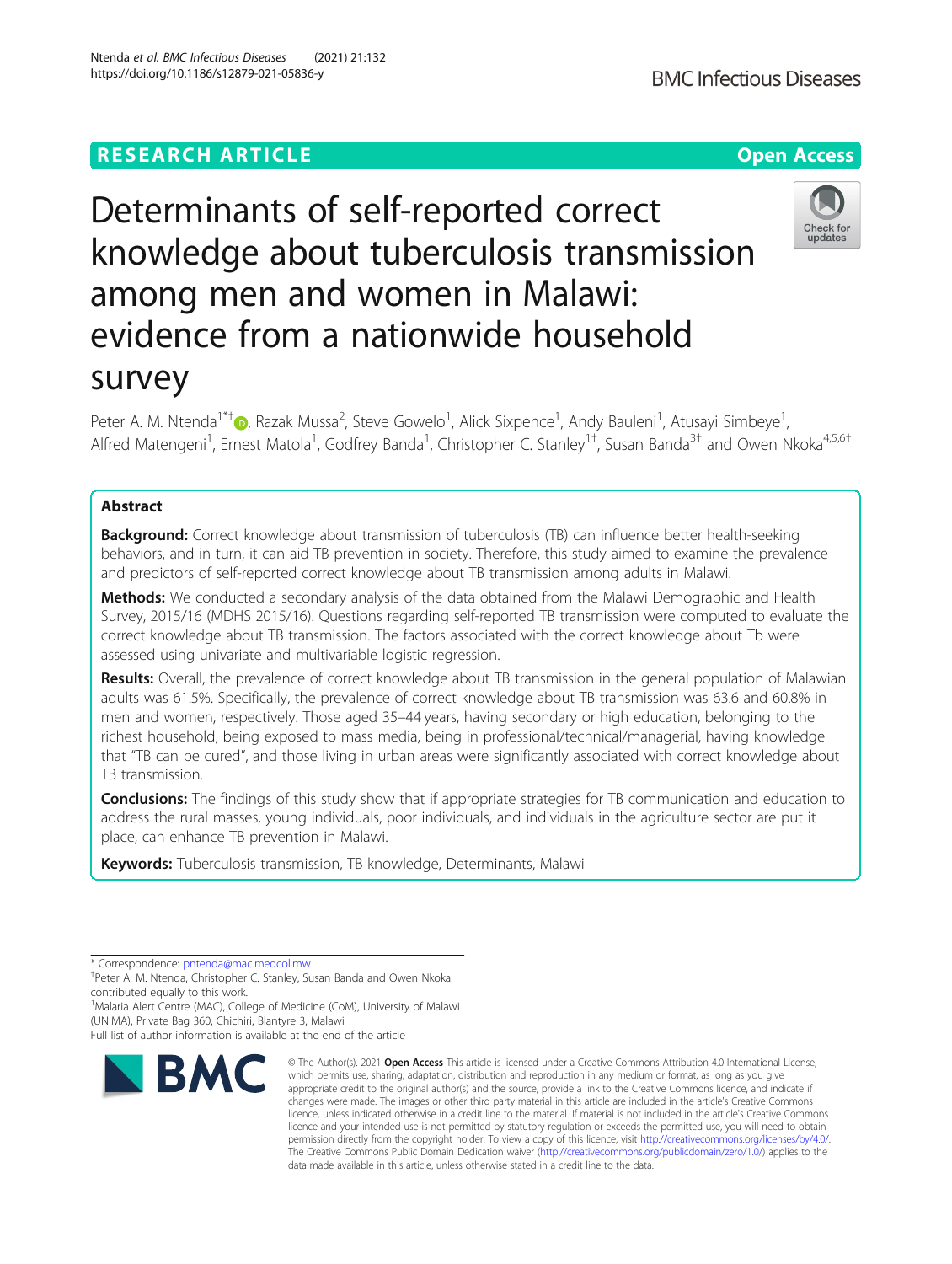## **RESEARCH ARTICLE Example 2014 12:30 The Contract of Contract ACCESS**

# Determinants of self-reported correct knowledge about tuberculosis transmission among men and women in Malawi: evidence from a nationwide household survey

Peter A. M. Ntenda<sup>1\*[†](http://orcid.org/0000-0002-2548-3163)</sup>®, Razak Mussa<sup>2</sup>, Steve Gowelo<sup>1</sup>, Alick Sixpence<sup>1</sup>, Andy Bauleni<sup>1</sup>, Atusayi Simbeye<sup>1</sup> , Alfred Matengeni<sup>1</sup>, Ernest Matola<sup>1</sup>, Godfrey Banda<sup>1</sup>, Christopher C. Stanley<sup>1†</sup>, Susan Banda<sup>3†</sup> and Owen Nkoka<sup>4,5,6†</sup>

## Abstract

**Background:** Correct knowledge about transmission of tuberculosis (TB) can influence better health-seeking behaviors, and in turn, it can aid TB prevention in society. Therefore, this study aimed to examine the prevalence and predictors of self-reported correct knowledge about TB transmission among adults in Malawi.

**Methods:** We conducted a secondary analysis of the data obtained from the Malawi Demographic and Health Survey, 2015/16 (MDHS 2015/16). Questions regarding self-reported TB transmission were computed to evaluate the correct knowledge about TB transmission. The factors associated with the correct knowledge about Tb were assessed using univariate and multivariable logistic regression.

Results: Overall, the prevalence of correct knowledge about TB transmission in the general population of Malawian adults was 61.5%. Specifically, the prevalence of correct knowledge about TB transmission was 63.6 and 60.8% in men and women, respectively. Those aged 35–44 years, having secondary or high education, belonging to the richest household, being exposed to mass media, being in professional/technical/managerial, having knowledge that "TB can be cured", and those living in urban areas were significantly associated with correct knowledge about TB transmission.

**Conclusions:** The findings of this study show that if appropriate strategies for TB communication and education to address the rural masses, young individuals, poor individuals, and individuals in the agriculture sector are put it place, can enhance TB prevention in Malawi.

Keywords: Tuberculosis transmission, TB knowledge, Determinants, Malawi

\* Correspondence: [pntenda@mac.medcol.mw](mailto:pntenda@mac.medcol.mw) †

**RM** 

<sup>+</sup>Peter A. M. Ntenda, Christopher C. Stanley, Susan Banda and Owen Nkoka contributed equally to this work.

<sup>1</sup>Malaria Alert Centre (MAC), College of Medicine (CoM), University of Malawi (UNIMA), Private Bag 360, Chichiri, Blantyre 3, Malawi

Full list of author information is available at the end of the article



© The Author(s), 2021 **Open Access** This article is licensed under a Creative Commons Attribution 4.0 International License, which permits use, sharing, adaptation, distribution and reproduction in any medium or format, as long as you give appropriate credit to the original author(s) and the source, provide a link to the Creative Commons licence, and indicate if changes were made. The images or other third party material in this article are included in the article's Creative Commons licence, unless indicated otherwise in a credit line to the material. If material is not included in the article's Creative Commons licence and your intended use is not permitted by statutory regulation or exceeds the permitted use, you will need to obtain permission directly from the copyright holder. To view a copy of this licence, visit [http://creativecommons.org/licenses/by/4.0/.](http://creativecommons.org/licenses/by/4.0/) The Creative Commons Public Domain Dedication waiver [\(http://creativecommons.org/publicdomain/zero/1.0/](http://creativecommons.org/publicdomain/zero/1.0/)) applies to the data made available in this article, unless otherwise stated in a credit line to the data.



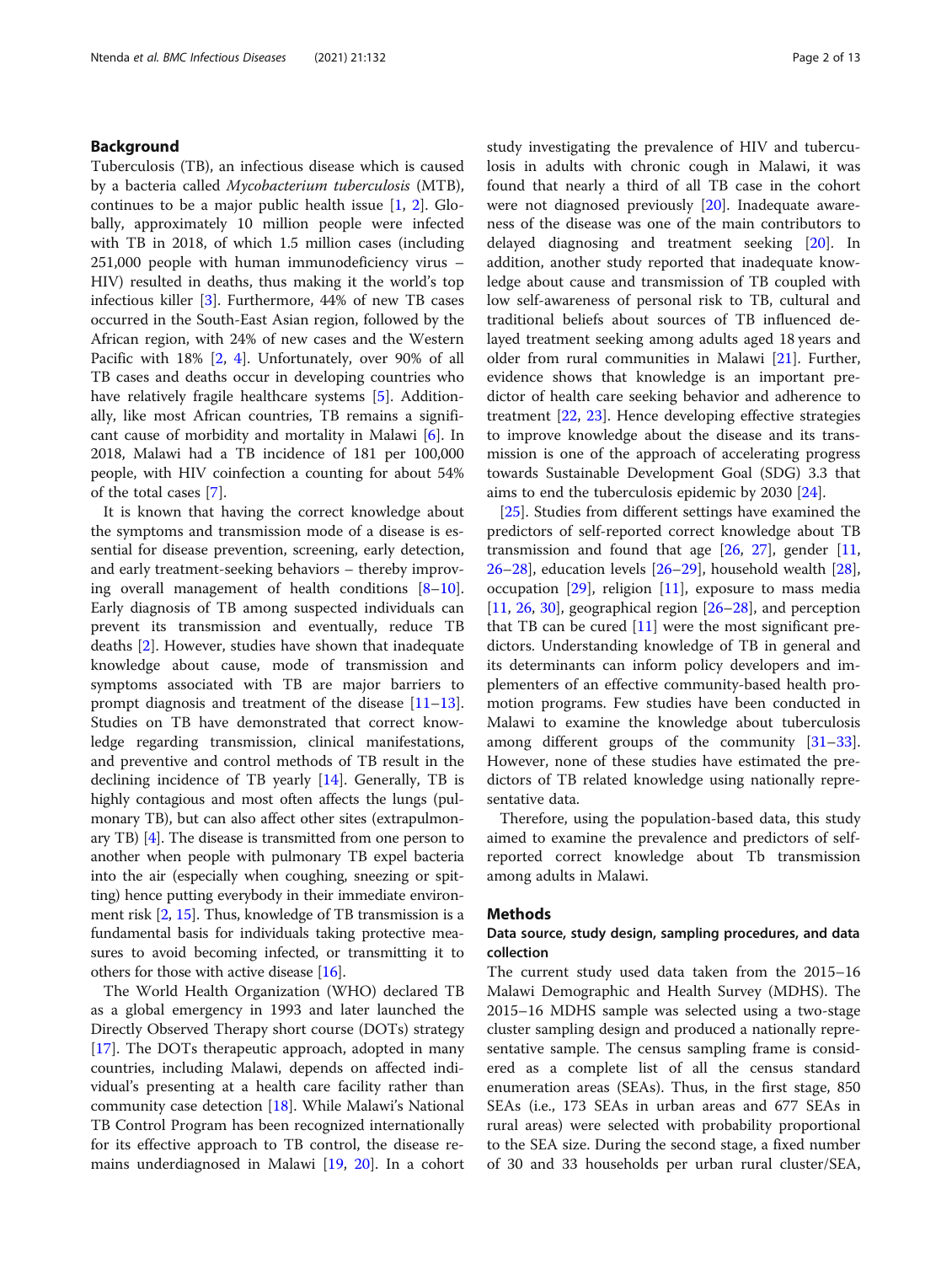## Background

Tuberculosis (TB), an infectious disease which is caused by a bacteria called Mycobacterium tuberculosis (MTB), continues to be a major public health issue  $[1, 2]$  $[1, 2]$  $[1, 2]$  $[1, 2]$ . Globally, approximately 10 million people were infected with TB in 2018, of which 1.5 million cases (including 251,000 people with human immunodeficiency virus – HIV) resulted in deaths, thus making it the world's top infectious killer [[3\]](#page-11-0). Furthermore, 44% of new TB cases occurred in the South-East Asian region, followed by the African region, with 24% of new cases and the Western Pacific with 18% [[2,](#page-11-0) [4](#page-11-0)]. Unfortunately, over 90% of all TB cases and deaths occur in developing countries who have relatively fragile healthcare systems [\[5](#page-11-0)]. Additionally, like most African countries, TB remains a significant cause of morbidity and mortality in Malawi [[6\]](#page-11-0). In 2018, Malawi had a TB incidence of 181 per 100,000 people, with HIV coinfection a counting for about 54% of the total cases [[7\]](#page-11-0).

It is known that having the correct knowledge about the symptoms and transmission mode of a disease is essential for disease prevention, screening, early detection, and early treatment-seeking behaviors – thereby improving overall management of health conditions  $[8-10]$  $[8-10]$  $[8-10]$  $[8-10]$  $[8-10]$ . Early diagnosis of TB among suspected individuals can prevent its transmission and eventually, reduce TB deaths [\[2](#page-11-0)]. However, studies have shown that inadequate knowledge about cause, mode of transmission and symptoms associated with TB are major barriers to prompt diagnosis and treatment of the disease [[11](#page-11-0)–[13](#page-11-0)]. Studies on TB have demonstrated that correct knowledge regarding transmission, clinical manifestations, and preventive and control methods of TB result in the declining incidence of TB yearly [\[14](#page-11-0)]. Generally, TB is highly contagious and most often affects the lungs (pulmonary TB), but can also affect other sites (extrapulmonary TB) [[4\]](#page-11-0). The disease is transmitted from one person to another when people with pulmonary TB expel bacteria into the air (especially when coughing, sneezing or spitting) hence putting everybody in their immediate environment risk [[2](#page-11-0), [15\]](#page-11-0). Thus, knowledge of TB transmission is a fundamental basis for individuals taking protective measures to avoid becoming infected, or transmitting it to others for those with active disease [[16](#page-11-0)].

The World Health Organization (WHO) declared TB as a global emergency in 1993 and later launched the Directly Observed Therapy short course (DOTs) strategy [[17\]](#page-11-0). The DOTs therapeutic approach, adopted in many countries, including Malawi, depends on affected individual's presenting at a health care facility rather than community case detection [[18\]](#page-11-0). While Malawi's National TB Control Program has been recognized internationally for its effective approach to TB control, the disease remains underdiagnosed in Malawi [\[19](#page-11-0), [20\]](#page-11-0). In a cohort study investigating the prevalence of HIV and tuberculosis in adults with chronic cough in Malawi, it was found that nearly a third of all TB case in the cohort were not diagnosed previously  $[20]$  $[20]$ . Inadequate awareness of the disease was one of the main contributors to delayed diagnosing and treatment seeking [[20\]](#page-11-0). In addition, another study reported that inadequate knowledge about cause and transmission of TB coupled with low self-awareness of personal risk to TB, cultural and traditional beliefs about sources of TB influenced delayed treatment seeking among adults aged 18 years and older from rural communities in Malawi [\[21\]](#page-11-0). Further, evidence shows that knowledge is an important predictor of health care seeking behavior and adherence to treatment [\[22](#page-11-0), [23\]](#page-11-0). Hence developing effective strategies to improve knowledge about the disease and its transmission is one of the approach of accelerating progress towards Sustainable Development Goal (SDG) 3.3 that aims to end the tuberculosis epidemic by 2030 [[24\]](#page-11-0).

[[25\]](#page-11-0). Studies from different settings have examined the predictors of self-reported correct knowledge about TB transmission and found that age  $[26, 27]$  $[26, 27]$  $[26, 27]$  $[26, 27]$ , gender  $[11, 16]$  $[11, 16]$  $[11, 16]$  $26-28$  $26-28$  $26-28$ ], education levels  $[26-29]$  $[26-29]$  $[26-29]$ , household wealth  $[28]$  $[28]$ , occupation  $[29]$  $[29]$ , religion  $[11]$  $[11]$  $[11]$ , exposure to mass media [[11,](#page-11-0) [26,](#page-11-0) [30\]](#page-12-0), geographical region  $[26-28]$  $[26-28]$  $[26-28]$  $[26-28]$  $[26-28]$ , and perception that TB can be cured  $[11]$  $[11]$  were the most significant predictors. Understanding knowledge of TB in general and its determinants can inform policy developers and implementers of an effective community-based health promotion programs. Few studies have been conducted in Malawi to examine the knowledge about tuberculosis among different groups of the community [[31](#page-12-0)–[33](#page-12-0)]. However, none of these studies have estimated the predictors of TB related knowledge using nationally representative data.

Therefore, using the population-based data, this study aimed to examine the prevalence and predictors of selfreported correct knowledge about Tb transmission among adults in Malawi.

#### Methods

## Data source, study design, sampling procedures, and data collection

The current study used data taken from the 2015–16 Malawi Demographic and Health Survey (MDHS). The 2015–16 MDHS sample was selected using a two-stage cluster sampling design and produced a nationally representative sample. The census sampling frame is considered as a complete list of all the census standard enumeration areas (SEAs). Thus, in the first stage, 850 SEAs (i.e., 173 SEAs in urban areas and 677 SEAs in rural areas) were selected with probability proportional to the SEA size. During the second stage, a fixed number of 30 and 33 households per urban rural cluster/SEA,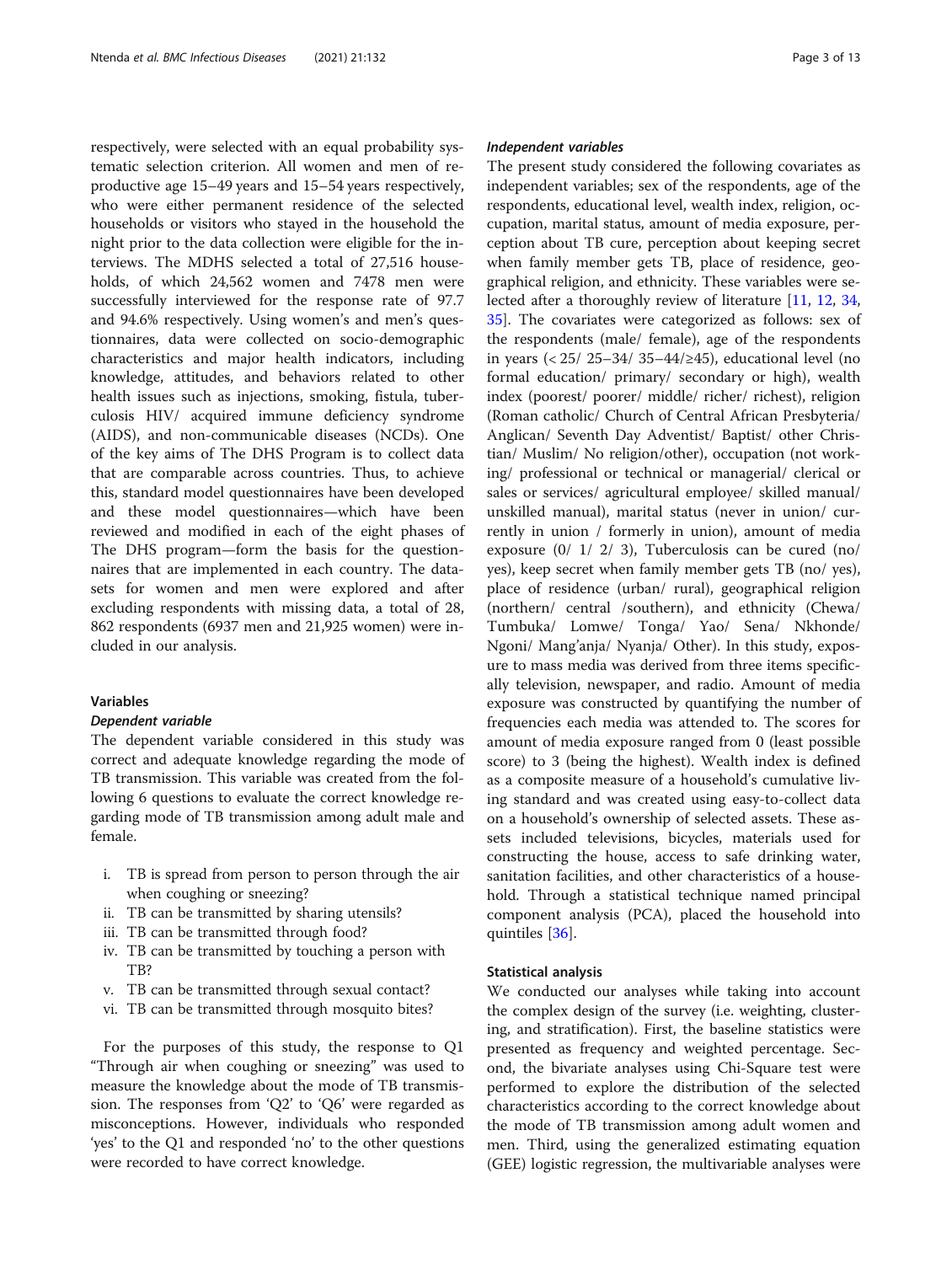respectively, were selected with an equal probability systematic selection criterion. All women and men of reproductive age 15–49 years and 15–54 years respectively, who were either permanent residence of the selected households or visitors who stayed in the household the night prior to the data collection were eligible for the interviews. The MDHS selected a total of 27,516 households, of which 24,562 women and 7478 men were successfully interviewed for the response rate of 97.7 and 94.6% respectively. Using women's and men's questionnaires, data were collected on socio-demographic characteristics and major health indicators, including knowledge, attitudes, and behaviors related to other health issues such as injections, smoking, fistula, tuberculosis HIV/ acquired immune deficiency syndrome (AIDS), and non-communicable diseases (NCDs). One of the key aims of The DHS Program is to collect data that are comparable across countries. Thus, to achieve this, standard model questionnaires have been developed and these model questionnaires—which have been reviewed and modified in each of the eight phases of The DHS program—form the basis for the questionnaires that are implemented in each country. The datasets for women and men were explored and after excluding respondents with missing data, a total of 28, 862 respondents (6937 men and 21,925 women) were included in our analysis.

#### Variables

#### Dependent variable

The dependent variable considered in this study was correct and adequate knowledge regarding the mode of TB transmission. This variable was created from the following 6 questions to evaluate the correct knowledge regarding mode of TB transmission among adult male and female.

- i. TB is spread from person to person through the air when coughing or sneezing?
- ii. TB can be transmitted by sharing utensils?
- iii. TB can be transmitted through food?
- iv. TB can be transmitted by touching a person with TB?
- v. TB can be transmitted through sexual contact?
- vi. TB can be transmitted through mosquito bites?

For the purposes of this study, the response to Q1 "Through air when coughing or sneezing" was used to measure the knowledge about the mode of TB transmission. The responses from 'Q2' to 'Q6' were regarded as misconceptions. However, individuals who responded 'yes' to the Q1 and responded 'no' to the other questions were recorded to have correct knowledge.

#### Independent variables

The present study considered the following covariates as independent variables; sex of the respondents, age of the respondents, educational level, wealth index, religion, occupation, marital status, amount of media exposure, perception about TB cure, perception about keeping secret when family member gets TB, place of residence, geographical religion, and ethnicity. These variables were selected after a thoroughly review of literature [[11,](#page-11-0) [12,](#page-11-0) [34](#page-12-0), [35\]](#page-12-0). The covariates were categorized as follows: sex of the respondents (male/ female), age of the respondents in years (< 25/ 25–34/ 35–44/≥45), educational level (no formal education/ primary/ secondary or high), wealth index (poorest/ poorer/ middle/ richer/ richest), religion (Roman catholic/ Church of Central African Presbyteria/ Anglican/ Seventh Day Adventist/ Baptist/ other Christian/ Muslim/ No religion/other), occupation (not working/ professional or technical or managerial/ clerical or sales or services/ agricultural employee/ skilled manual/ unskilled manual), marital status (never in union/ currently in union / formerly in union), amount of media exposure (0/ 1/ 2/ 3), Tuberculosis can be cured (no/ yes), keep secret when family member gets TB (no/ yes), place of residence (urban/ rural), geographical religion (northern/ central /southern), and ethnicity (Chewa/ Tumbuka/ Lomwe/ Tonga/ Yao/ Sena/ Nkhonde/ Ngoni/ Mang'anja/ Nyanja/ Other). In this study, exposure to mass media was derived from three items specifically television, newspaper, and radio. Amount of media exposure was constructed by quantifying the number of frequencies each media was attended to. The scores for amount of media exposure ranged from 0 (least possible score) to 3 (being the highest). Wealth index is defined as a composite measure of a household's cumulative living standard and was created using easy-to-collect data on a household's ownership of selected assets. These assets included televisions, bicycles, materials used for constructing the house, access to safe drinking water, sanitation facilities, and other characteristics of a household. Through a statistical technique named principal component analysis (PCA), placed the household into quintiles [[36\]](#page-12-0).

#### Statistical analysis

We conducted our analyses while taking into account the complex design of the survey (i.e. weighting, clustering, and stratification). First, the baseline statistics were presented as frequency and weighted percentage. Second, the bivariate analyses using Chi-Square test were performed to explore the distribution of the selected characteristics according to the correct knowledge about the mode of TB transmission among adult women and men. Third, using the generalized estimating equation (GEE) logistic regression, the multivariable analyses were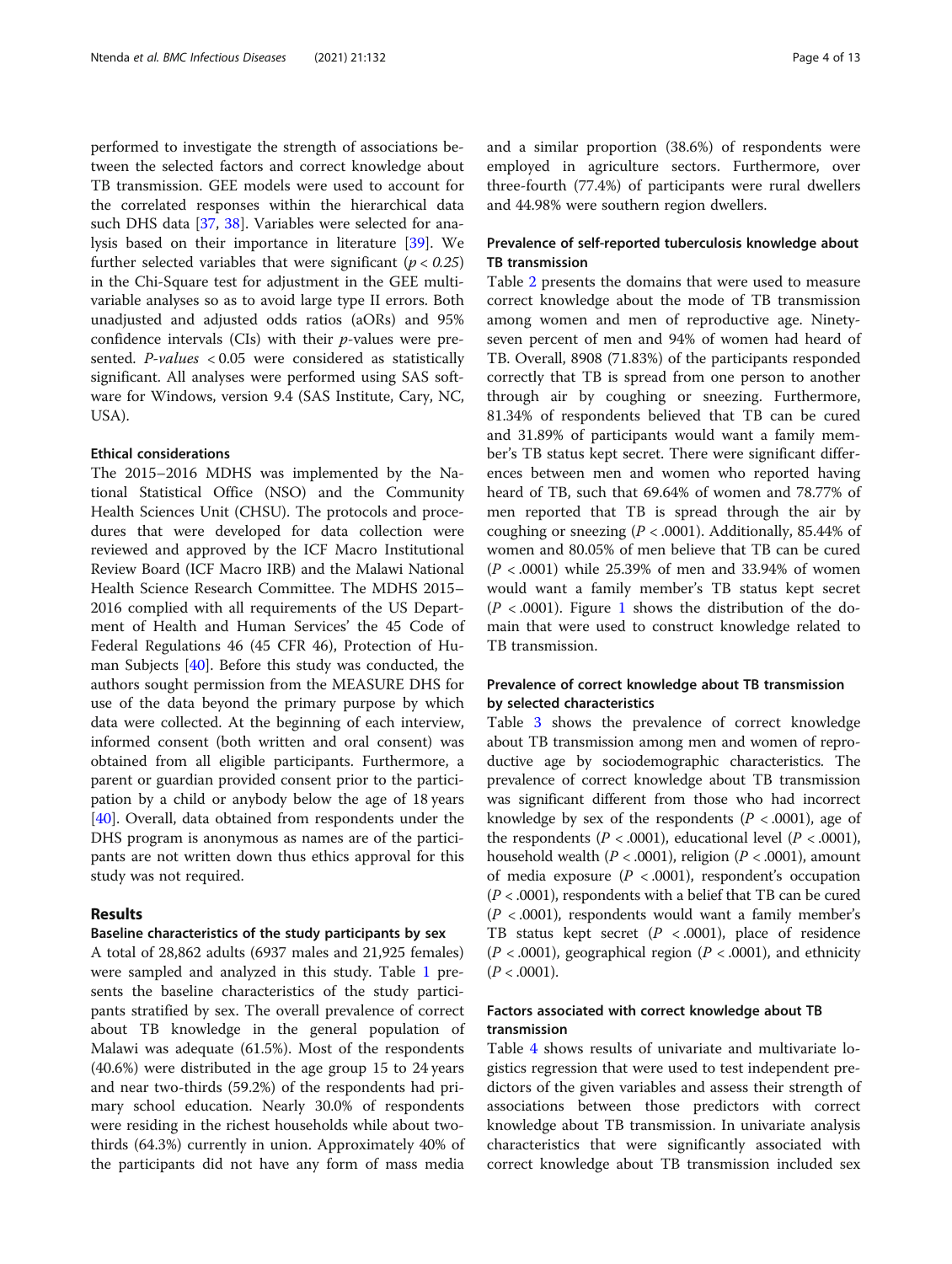performed to investigate the strength of associations between the selected factors and correct knowledge about TB transmission. GEE models were used to account for the correlated responses within the hierarchical data such DHS data [\[37](#page-12-0), [38](#page-12-0)]. Variables were selected for analysis based on their importance in literature [\[39\]](#page-12-0). We further selected variables that were significant ( $p < 0.25$ ) in the Chi-Square test for adjustment in the GEE multivariable analyses so as to avoid large type II errors. Both unadjusted and adjusted odds ratios (aORs) and 95% confidence intervals (CIs) with their  $p$ -values were presented. P-values < 0.05 were considered as statistically significant. All analyses were performed using SAS software for Windows, version 9.4 (SAS Institute, Cary, NC, USA).

#### Ethical considerations

The 2015–2016 MDHS was implemented by the National Statistical Office (NSO) and the Community Health Sciences Unit (CHSU). The protocols and procedures that were developed for data collection were reviewed and approved by the ICF Macro Institutional Review Board (ICF Macro IRB) and the Malawi National Health Science Research Committee. The MDHS 2015– 2016 complied with all requirements of the US Department of Health and Human Services' the 45 Code of Federal Regulations 46 (45 CFR 46), Protection of Human Subjects [[40](#page-12-0)]. Before this study was conducted, the authors sought permission from the MEASURE DHS for use of the data beyond the primary purpose by which data were collected. At the beginning of each interview, informed consent (both written and oral consent) was obtained from all eligible participants. Furthermore, a parent or guardian provided consent prior to the participation by a child or anybody below the age of 18 years [[40\]](#page-12-0). Overall, data obtained from respondents under the DHS program is anonymous as names are of the participants are not written down thus ethics approval for this study was not required.

### Results

#### Baseline characteristics of the study participants by sex

A total of 28,862 adults (6937 males and 21,925 females) were sampled and analyzed in this study. Table [1](#page-4-0) presents the baseline characteristics of the study participants stratified by sex. The overall prevalence of correct about TB knowledge in the general population of Malawi was adequate (61.5%). Most of the respondents (40.6%) were distributed in the age group 15 to 24 years and near two-thirds (59.2%) of the respondents had primary school education. Nearly 30.0% of respondents were residing in the richest households while about twothirds (64.3%) currently in union. Approximately 40% of the participants did not have any form of mass media and a similar proportion (38.6%) of respondents were employed in agriculture sectors. Furthermore, over three-fourth (77.4%) of participants were rural dwellers and 44.98% were southern region dwellers.

## Prevalence of self-reported tuberculosis knowledge about TB transmission

Table [2](#page-5-0) presents the domains that were used to measure correct knowledge about the mode of TB transmission among women and men of reproductive age. Ninetyseven percent of men and 94% of women had heard of TB. Overall, 8908 (71.83%) of the participants responded correctly that TB is spread from one person to another through air by coughing or sneezing. Furthermore, 81.34% of respondents believed that TB can be cured and 31.89% of participants would want a family member's TB status kept secret. There were significant differences between men and women who reported having heard of TB, such that 69.64% of women and 78.77% of men reported that TB is spread through the air by coughing or sneezing ( $P < .0001$ ). Additionally, 85.44% of women and 80.05% of men believe that TB can be cured  $(P < .0001)$  while 25.39% of men and 33.94% of women would want a family member's TB status kept secret  $(P < .0001)$  $(P < .0001)$  $(P < .0001)$ . Figure 1 shows the distribution of the domain that were used to construct knowledge related to TB transmission.

## Prevalence of correct knowledge about TB transmission by selected characteristics

Table [3](#page-7-0) shows the prevalence of correct knowledge about TB transmission among men and women of reproductive age by sociodemographic characteristics. The prevalence of correct knowledge about TB transmission was significant different from those who had incorrect knowledge by sex of the respondents ( $P < .0001$ ), age of the respondents ( $P < .0001$ ), educational level ( $P < .0001$ ), household wealth ( $P < .0001$ ), religion ( $P < .0001$ ), amount of media exposure  $(P < .0001)$ , respondent's occupation  $(P < .0001)$ , respondents with a belief that TB can be cured  $(P < .0001)$ , respondents would want a family member's TB status kept secret  $(P < .0001)$ , place of residence  $(P < .0001)$ , geographical region  $(P < .0001)$ , and ethnicity  $(P < .0001)$ .

## Factors associated with correct knowledge about TB transmission

Table [4](#page-9-0) shows results of univariate and multivariate logistics regression that were used to test independent predictors of the given variables and assess their strength of associations between those predictors with correct knowledge about TB transmission. In univariate analysis characteristics that were significantly associated with correct knowledge about TB transmission included sex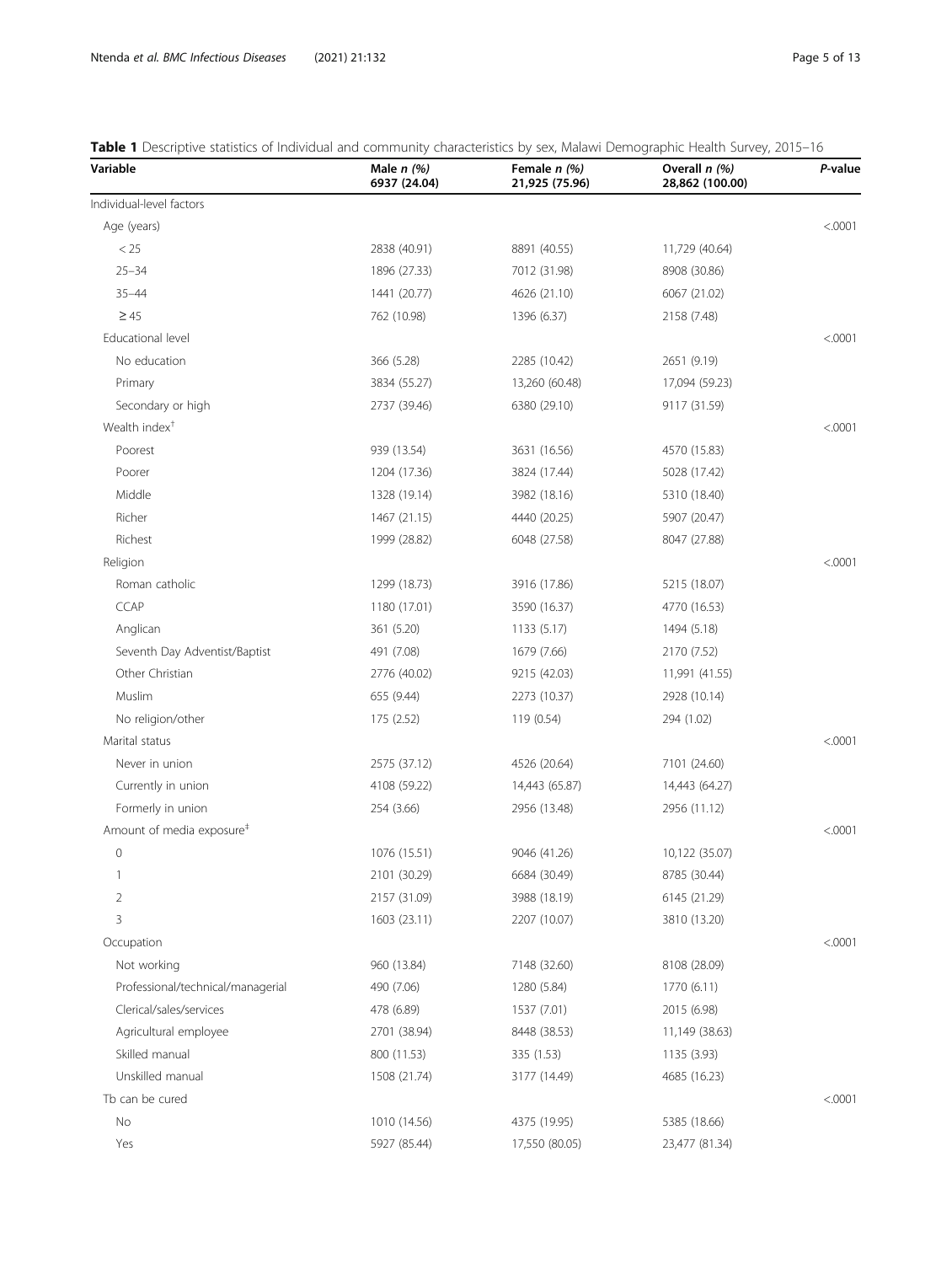## <span id="page-4-0"></span>Table 1 Descriptive statistics of Individual and community characteristics by sex, Malawi Demographic Health Survey, 2015-16

| Variable                              | Male $n$ (%)<br>6937 (24.04) | Female n (%)<br>21,925 (75.96) | Overall n (%)<br>28,862 (100.00) | P-value |
|---------------------------------------|------------------------------|--------------------------------|----------------------------------|---------|
| Individual-level factors              |                              |                                |                                  |         |
| Age (years)                           |                              |                                |                                  | < .0001 |
| < 25                                  | 2838 (40.91)                 | 8891 (40.55)                   | 11,729 (40.64)                   |         |
| $25 - 34$                             | 1896 (27.33)                 | 7012 (31.98)                   | 8908 (30.86)                     |         |
| $35 - 44$                             | 1441 (20.77)                 | 4626 (21.10)                   | 6067 (21.02)                     |         |
| $\geq 45$                             | 762 (10.98)                  | 1396 (6.37)                    | 2158 (7.48)                      |         |
| Educational level                     |                              |                                |                                  | < .0001 |
| No education                          | 366 (5.28)                   | 2285 (10.42)                   | 2651 (9.19)                      |         |
| Primary                               | 3834 (55.27)                 | 13,260 (60.48)                 | 17,094 (59.23)                   |         |
| Secondary or high                     | 2737 (39.46)                 | 6380 (29.10)                   | 9117 (31.59)                     |         |
| Wealth index <sup>+</sup>             |                              |                                |                                  | < .0001 |
| Poorest                               | 939 (13.54)                  | 3631 (16.56)                   | 4570 (15.83)                     |         |
| Poorer                                | 1204 (17.36)                 | 3824 (17.44)                   | 5028 (17.42)                     |         |
| Middle                                | 1328 (19.14)                 | 3982 (18.16)                   | 5310 (18.40)                     |         |
| Richer                                | 1467 (21.15)                 | 4440 (20.25)                   | 5907 (20.47)                     |         |
| Richest                               | 1999 (28.82)                 | 6048 (27.58)                   | 8047 (27.88)                     |         |
| Religion                              |                              |                                |                                  | < .0001 |
| Roman catholic                        | 1299 (18.73)                 | 3916 (17.86)                   | 5215 (18.07)                     |         |
| <b>CCAP</b>                           | 1180 (17.01)                 | 3590 (16.37)                   | 4770 (16.53)                     |         |
| Anglican                              | 361 (5.20)                   | 1133 (5.17)                    | 1494 (5.18)                      |         |
| Seventh Day Adventist/Baptist         | 491 (7.08)                   | 1679 (7.66)                    | 2170 (7.52)                      |         |
| Other Christian                       | 2776 (40.02)                 | 9215 (42.03)                   | 11,991 (41.55)                   |         |
| Muslim                                | 655 (9.44)                   | 2273 (10.37)                   | 2928 (10.14)                     |         |
| No religion/other                     | 175 (2.52)                   | 119 (0.54)                     | 294 (1.02)                       |         |
| Marital status                        |                              |                                |                                  | < .0001 |
| Never in union                        | 2575 (37.12)                 | 4526 (20.64)                   | 7101 (24.60)                     |         |
| Currently in union                    | 4108 (59.22)                 | 14,443 (65.87)                 | 14,443 (64.27)                   |         |
| Formerly in union                     | 254 (3.66)                   | 2956 (13.48)                   | 2956 (11.12)                     |         |
| Amount of media exposure <sup>#</sup> |                              |                                |                                  | < .0001 |
| 0                                     | 1076 (15.51)                 | 9046 (41.26)                   | 10,122 (35.07)                   |         |
| 1                                     | 2101 (30.29)                 | 6684 (30.49)                   | 8785 (30.44)                     |         |
| 2                                     | 2157 (31.09)                 | 3988 (18.19)                   | 6145 (21.29)                     |         |
| 3                                     | 1603 (23.11)                 | 2207 (10.07)                   | 3810 (13.20)                     |         |
| Occupation                            |                              |                                |                                  | < .0001 |
| Not working                           | 960 (13.84)                  | 7148 (32.60)                   | 8108 (28.09)                     |         |
| Professional/technical/managerial     | 490 (7.06)                   | 1280 (5.84)                    | 1770 (6.11)                      |         |
| Clerical/sales/services               | 478 (6.89)                   | 1537 (7.01)                    | 2015 (6.98)                      |         |
| Agricultural employee                 | 2701 (38.94)                 | 8448 (38.53)                   | 11,149 (38.63)                   |         |
| Skilled manual                        | 800 (11.53)                  | 335 (1.53)                     | 1135 (3.93)                      |         |
| Unskilled manual                      | 1508 (21.74)                 | 3177 (14.49)                   | 4685 (16.23)                     |         |
| Tb can be cured                       |                              |                                |                                  | < .0001 |
| No                                    | 1010 (14.56)                 | 4375 (19.95)                   | 5385 (18.66)                     |         |
| Yes                                   | 5927 (85.44)                 | 17,550 (80.05)                 | 23,477 (81.34)                   |         |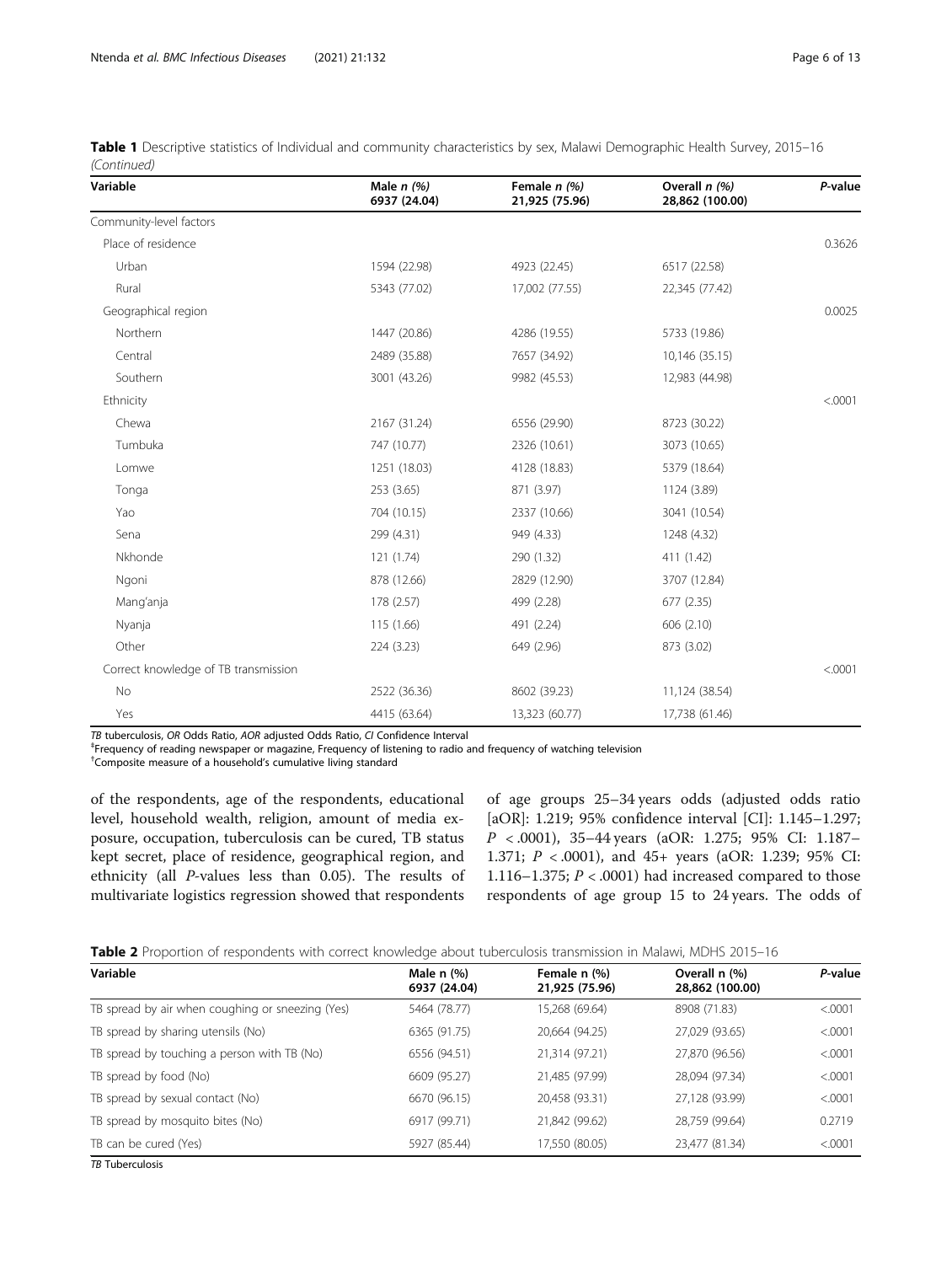| Variable                             | Male $n(%)$<br>6937 (24.04) | Female n (%)<br>21,925 (75.96) | Overall n (%)<br>28,862 (100.00) | P-value |
|--------------------------------------|-----------------------------|--------------------------------|----------------------------------|---------|
| Community-level factors              |                             |                                |                                  |         |
| Place of residence                   |                             |                                |                                  | 0.3626  |
| Urban                                | 1594 (22.98)                | 4923 (22.45)                   | 6517 (22.58)                     |         |
| Rural                                | 5343 (77.02)                | 17,002 (77.55)                 | 22,345 (77.42)                   |         |
| Geographical region                  |                             |                                |                                  | 0.0025  |
| Northern                             | 1447 (20.86)                | 4286 (19.55)                   | 5733 (19.86)                     |         |
| Central                              | 2489 (35.88)                | 7657 (34.92)                   | 10,146 (35.15)                   |         |
| Southern                             | 3001 (43.26)                | 9982 (45.53)                   | 12,983 (44.98)                   |         |
| Ethnicity                            |                             |                                |                                  | < .0001 |
| Chewa                                | 2167 (31.24)                | 6556 (29.90)                   | 8723 (30.22)                     |         |
| Tumbuka                              | 747 (10.77)                 | 2326 (10.61)                   | 3073 (10.65)                     |         |
| Lomwe                                | 1251 (18.03)                | 4128 (18.83)                   | 5379 (18.64)                     |         |
| Tonga                                | 253 (3.65)                  | 871 (3.97)                     | 1124 (3.89)                      |         |
| Yao                                  | 704 (10.15)                 | 2337 (10.66)                   | 3041 (10.54)                     |         |
| Sena                                 | 299 (4.31)                  | 949 (4.33)                     | 1248 (4.32)                      |         |
| Nkhonde                              | 121 (1.74)                  | 290 (1.32)                     | 411 (1.42)                       |         |
| Ngoni                                | 878 (12.66)                 | 2829 (12.90)                   | 3707 (12.84)                     |         |
| Mang'anja                            | 178 (2.57)                  | 499 (2.28)                     | 677 (2.35)                       |         |
| Nyanja                               | 115 (1.66)                  | 491 (2.24)                     | 606 (2.10)                       |         |
| Other                                | 224(3.23)                   | 649 (2.96)                     | 873 (3.02)                       |         |
| Correct knowledge of TB transmission |                             |                                |                                  | < .0001 |
| No                                   | 2522 (36.36)                | 8602 (39.23)                   | 11,124 (38.54)                   |         |
| Yes                                  | 4415 (63.64)                | 13,323 (60.77)                 | 17,738 (61.46)                   |         |

<span id="page-5-0"></span>Table 1 Descriptive statistics of Individual and community characteristics by sex, Malawi Demographic Health Survey, 2015-16 (Continued)

TB tuberculosis, OR Odds Ratio, AOR adjusted Odds Ratio, CI Confidence Interval

<sup>‡</sup>Frequency of reading newspaper or magazine, Frequency of listening to radio and frequency of watching television

† Composite measure of a household's cumulative living standard

of the respondents, age of the respondents, educational level, household wealth, religion, amount of media exposure, occupation, tuberculosis can be cured, TB status kept secret, place of residence, geographical region, and ethnicity (all P-values less than 0.05). The results of multivariate logistics regression showed that respondents

of age groups 25–34 years odds (adjusted odds ratio [aOR]: 1.219; 95% confidence interval [CI]: 1.145–1.297; P < .0001), 35–44 years (aOR: 1.275; 95% CI: 1.187– 1.371; P < .0001), and 45+ years (aOR: 1.239; 95% CI: 1.116–1.375;  $P < .0001$ ) had increased compared to those respondents of age group 15 to 24 years. The odds of

|  |  |  | <b>Table 2</b> Proportion of respondents with correct knowledge about tuberculosis transmission in Malawi. MDHS 2015–16 |
|--|--|--|-------------------------------------------------------------------------------------------------------------------------|
|  |  |  |                                                                                                                         |

| Variable                                         | Male $n$ $%$<br>6937 (24.04) | Female n (%)<br>21,925 (75.96) | Overall n (%)<br>28,862 (100.00) | P-value |
|--------------------------------------------------|------------------------------|--------------------------------|----------------------------------|---------|
| TB spread by air when coughing or sneezing (Yes) | 5464 (78.77)                 | 15,268 (69.64)                 | 8908 (71.83)                     | < .0001 |
| TB spread by sharing utensils (No)               | 6365 (91.75)                 | 20,664 (94.25)                 | 27,029 (93.65)                   | < .0001 |
| TB spread by touching a person with TB (No)      | 6556 (94.51)                 | 21,314 (97.21)                 | 27,870 (96.56)                   | < .0001 |
| TB spread by food (No)                           | 6609 (95.27)                 | 21,485 (97.99)                 | 28,094 (97.34)                   | < 0001  |
| TB spread by sexual contact (No)                 | 6670 (96.15)                 | 20,458 (93.31)                 | 27,128 (93.99)                   | < .0001 |
| TB spread by mosquito bites (No)                 | 6917 (99.71)                 | 21,842 (99.62)                 | 28,759 (99.64)                   | 0.2719  |
| TB can be cured (Yes)                            | 5927 (85.44)                 | 17,550 (80.05)                 | 23,477 (81.34)                   | < 0001  |

TB Tuberculosis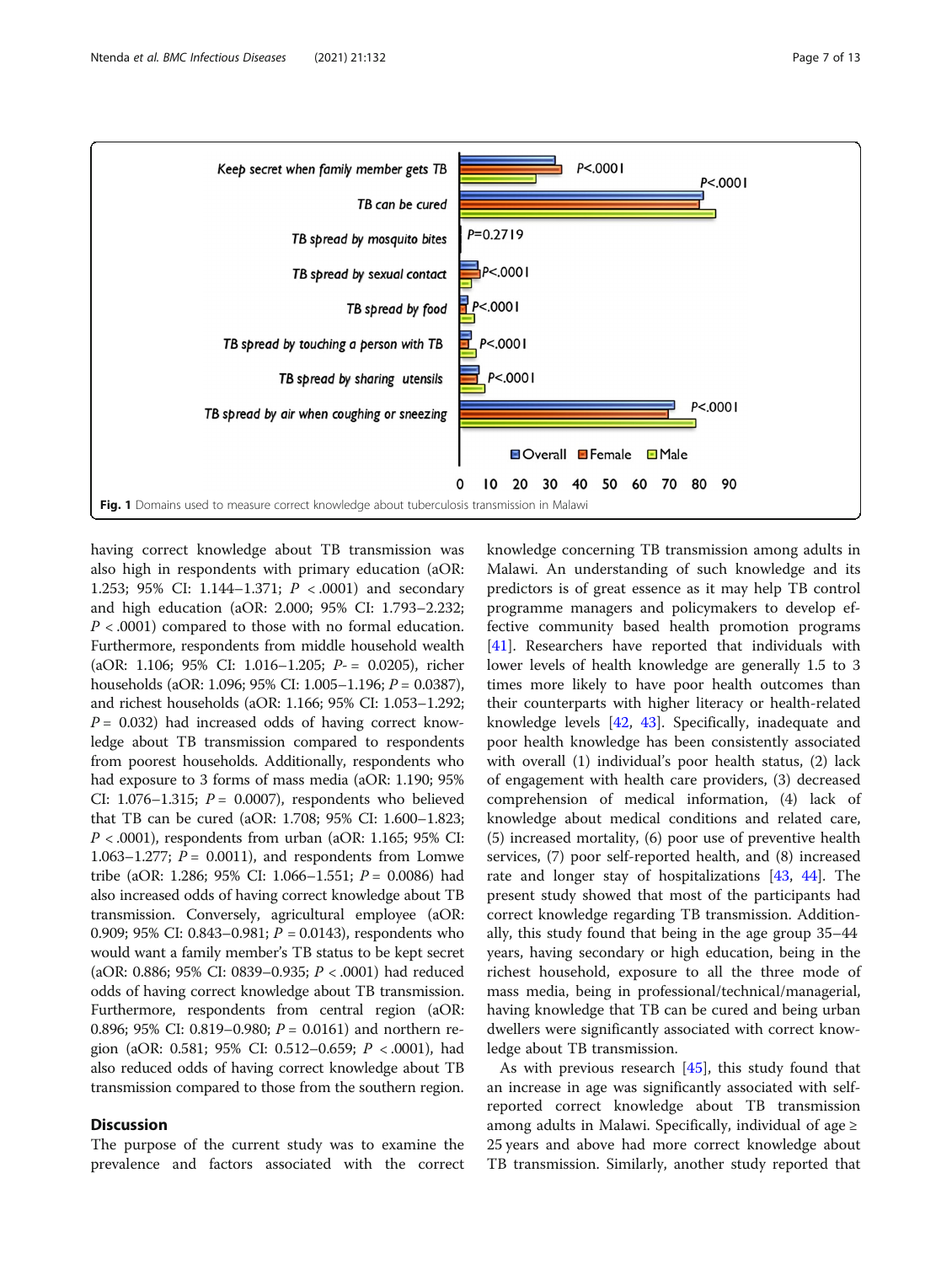<span id="page-6-0"></span>

having correct knowledge about TB transmission was also high in respondents with primary education (aOR: 1.253; 95% CI: 1.144–1.371;  $P < .0001$  and secondary and high education (aOR: 2.000; 95% CI: 1.793–2.232;  $P < .0001$ ) compared to those with no formal education. Furthermore, respondents from middle household wealth (aOR: 1.106; 95% CI: 1.016–1.205; P- = 0.0205), richer households (aOR: 1.096; 95% CI: 1.005–1.196;  $P = 0.0387$ ), and richest households (aOR: 1.166; 95% CI: 1.053–1.292;  $P = 0.032$ ) had increased odds of having correct knowledge about TB transmission compared to respondents from poorest households. Additionally, respondents who had exposure to 3 forms of mass media (aOR: 1.190; 95% CI: 1.076–1.315;  $P = 0.0007$ ), respondents who believed that TB can be cured (aOR: 1.708; 95% CI: 1.600–1.823;  $P < .0001$ ), respondents from urban (aOR: 1.165; 95% CI: 1.063–1.277;  $P = 0.0011$ , and respondents from Lomwe tribe (aOR: 1.286; 95% CI: 1.066–1.551;  $P = 0.0086$ ) had also increased odds of having correct knowledge about TB transmission. Conversely, agricultural employee (aOR: 0.909; 95% CI: 0.843–0.981;  $P = 0.0143$ ), respondents who would want a family member's TB status to be kept secret (aOR: 0.886; 95% CI: 0839–0.935; P < .0001) had reduced odds of having correct knowledge about TB transmission. Furthermore, respondents from central region (aOR: 0.896; 95% CI: 0.819–0.980;  $P = 0.0161$ ) and northern region (aOR: 0.581; 95% CI: 0.512–0.659;  $P < .0001$ ), had also reduced odds of having correct knowledge about TB transmission compared to those from the southern region.

#### **Discussion**

The purpose of the current study was to examine the prevalence and factors associated with the correct

knowledge concerning TB transmission among adults in Malawi. An understanding of such knowledge and its predictors is of great essence as it may help TB control programme managers and policymakers to develop effective community based health promotion programs [[41\]](#page-12-0). Researchers have reported that individuals with lower levels of health knowledge are generally 1.5 to 3 times more likely to have poor health outcomes than their counterparts with higher literacy or health-related knowledge levels [[42,](#page-12-0) [43\]](#page-12-0). Specifically, inadequate and poor health knowledge has been consistently associated with overall (1) individual's poor health status, (2) lack of engagement with health care providers, (3) decreased comprehension of medical information, (4) lack of knowledge about medical conditions and related care, (5) increased mortality, (6) poor use of preventive health services, (7) poor self-reported health, and (8) increased rate and longer stay of hospitalizations [\[43](#page-12-0), [44\]](#page-12-0). The present study showed that most of the participants had correct knowledge regarding TB transmission. Additionally, this study found that being in the age group 35–44 years, having secondary or high education, being in the richest household, exposure to all the three mode of mass media, being in professional/technical/managerial, having knowledge that TB can be cured and being urban dwellers were significantly associated with correct knowledge about TB transmission.

As with previous research [[45\]](#page-12-0), this study found that an increase in age was significantly associated with selfreported correct knowledge about TB transmission among adults in Malawi. Specifically, individual of age  $\geq$ 25 years and above had more correct knowledge about TB transmission. Similarly, another study reported that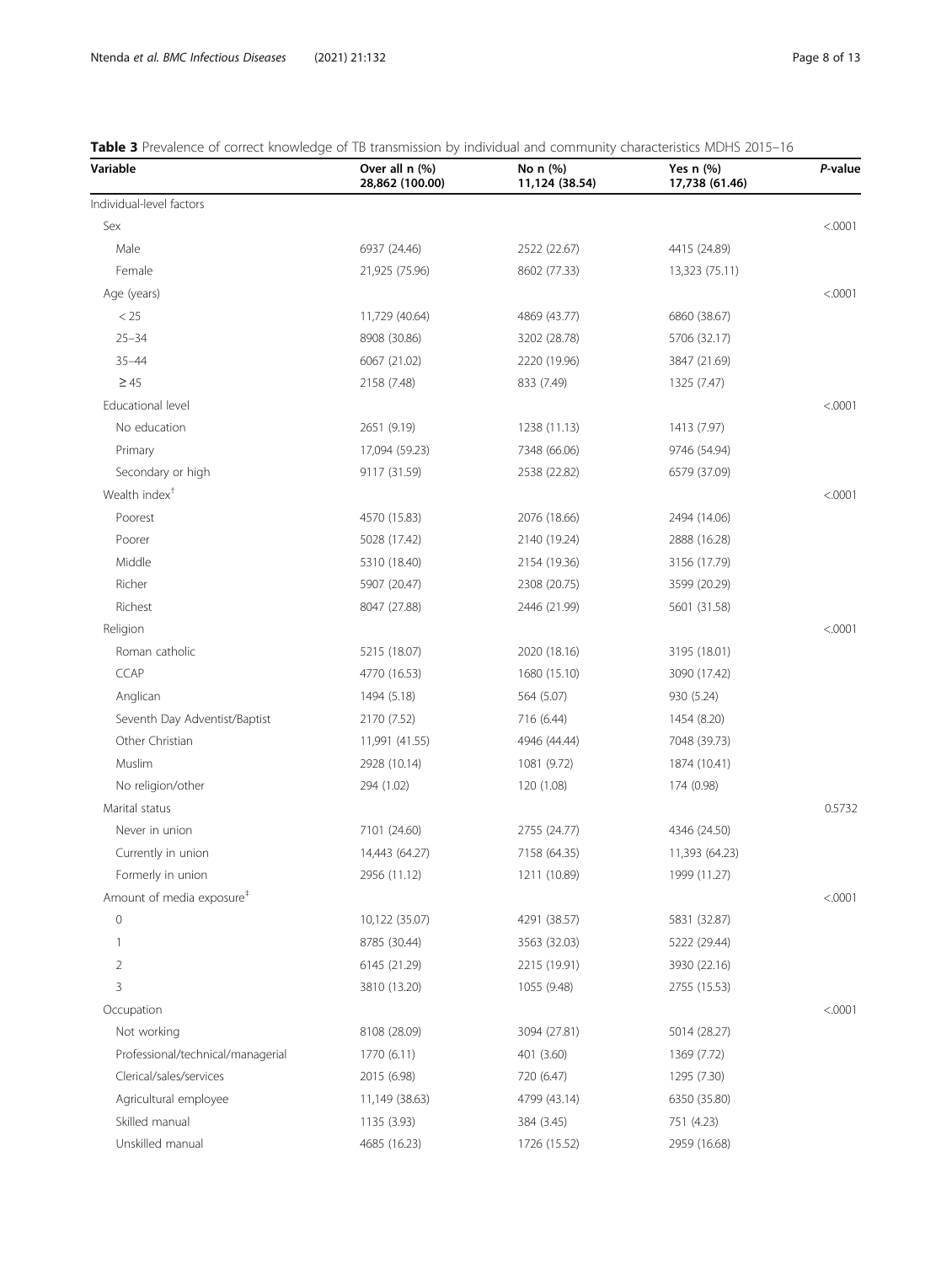## <span id="page-7-0"></span>Table 3 Prevalence of correct knowledge of TB transmission by individual and community characteristics MDHS 2015-16

| Variable                              | Over all n (%)<br>28,862 (100.00) | No n (%)<br>11,124 (38.54) | Yes $n$ (%)<br>17,738 (61.46) | P-value |
|---------------------------------------|-----------------------------------|----------------------------|-------------------------------|---------|
| Individual-level factors              |                                   |                            |                               |         |
| Sex                                   |                                   |                            |                               | < .0001 |
| Male                                  | 6937 (24.46)                      | 2522 (22.67)               | 4415 (24.89)                  |         |
| Female                                | 21,925 (75.96)                    | 8602 (77.33)               | 13,323 (75.11)                |         |
| Age (years)                           |                                   |                            |                               | < .0001 |
| < 25                                  | 11,729 (40.64)                    | 4869 (43.77)               | 6860 (38.67)                  |         |
| $25 - 34$                             | 8908 (30.86)                      | 3202 (28.78)               | 5706 (32.17)                  |         |
| $35 - 44$                             | 6067 (21.02)                      | 2220 (19.96)               | 3847 (21.69)                  |         |
| $\geq 45$                             | 2158 (7.48)                       | 833 (7.49)                 | 1325 (7.47)                   |         |
| Educational level                     |                                   |                            |                               | < .0001 |
| No education                          | 2651 (9.19)                       | 1238 (11.13)               | 1413 (7.97)                   |         |
| Primary                               | 17,094 (59.23)                    | 7348 (66.06)               | 9746 (54.94)                  |         |
| Secondary or high                     | 9117 (31.59)                      | 2538 (22.82)               | 6579 (37.09)                  |         |
| Wealth index <sup>+</sup>             |                                   |                            |                               | < .0001 |
| Poorest                               | 4570 (15.83)                      | 2076 (18.66)               | 2494 (14.06)                  |         |
| Poorer                                | 5028 (17.42)                      | 2140 (19.24)               | 2888 (16.28)                  |         |
| Middle                                | 5310 (18.40)                      | 2154 (19.36)               | 3156 (17.79)                  |         |
| Richer                                | 5907 (20.47)                      | 2308 (20.75)               | 3599 (20.29)                  |         |
| Richest                               | 8047 (27.88)                      | 2446 (21.99)               | 5601 (31.58)                  |         |
| Religion                              |                                   |                            |                               | < .0001 |
| Roman catholic                        | 5215 (18.07)                      | 2020 (18.16)               | 3195 (18.01)                  |         |
| CCAP                                  | 4770 (16.53)                      | 1680 (15.10)               | 3090 (17.42)                  |         |
| Anglican                              | 1494 (5.18)                       | 564 (5.07)                 | 930 (5.24)                    |         |
| Seventh Day Adventist/Baptist         | 2170 (7.52)                       | 716 (6.44)                 | 1454 (8.20)                   |         |
| Other Christian                       | 11,991 (41.55)                    | 4946 (44.44)               | 7048 (39.73)                  |         |
| Muslim                                | 2928 (10.14)                      | 1081 (9.72)                | 1874 (10.41)                  |         |
| No religion/other                     | 294 (1.02)                        | 120 (1.08)                 | 174 (0.98)                    |         |
| Marital status                        |                                   |                            |                               | 0.5732  |
| Never in union                        | 7101 (24.60)                      | 2755 (24.77)               | 4346 (24.50)                  |         |
| Currently in union                    | 14,443 (64.27)                    | 7158 (64.35)               | 11,393 (64.23)                |         |
| Formerly in union                     | 2956 (11.12)                      | 1211 (10.89)               | 1999 (11.27)                  |         |
| Amount of media exposure <sup>#</sup> |                                   |                            |                               | < .0001 |
| $\mathbb O$                           | 10,122 (35.07)                    | 4291 (38.57)               | 5831 (32.87)                  |         |
| 1                                     | 8785 (30.44)                      | 3563 (32.03)               | 5222 (29.44)                  |         |
| 2                                     | 6145 (21.29)                      | 2215 (19.91)               | 3930 (22.16)                  |         |
| 3                                     | 3810 (13.20)                      | 1055 (9.48)                | 2755 (15.53)                  |         |
| Occupation                            |                                   |                            |                               | < .0001 |
| Not working                           | 8108 (28.09)                      | 3094 (27.81)               | 5014 (28.27)                  |         |
| Professional/technical/managerial     | 1770 (6.11)                       | 401 (3.60)                 | 1369 (7.72)                   |         |
| Clerical/sales/services               | 2015 (6.98)                       | 720 (6.47)                 | 1295 (7.30)                   |         |
| Agricultural employee                 | 11,149 (38.63)                    | 4799 (43.14)               | 6350 (35.80)                  |         |
| Skilled manual                        | 1135 (3.93)                       | 384 (3.45)                 | 751 (4.23)                    |         |
| Unskilled manual                      | 4685 (16.23)                      | 1726 (15.52)               | 2959 (16.68)                  |         |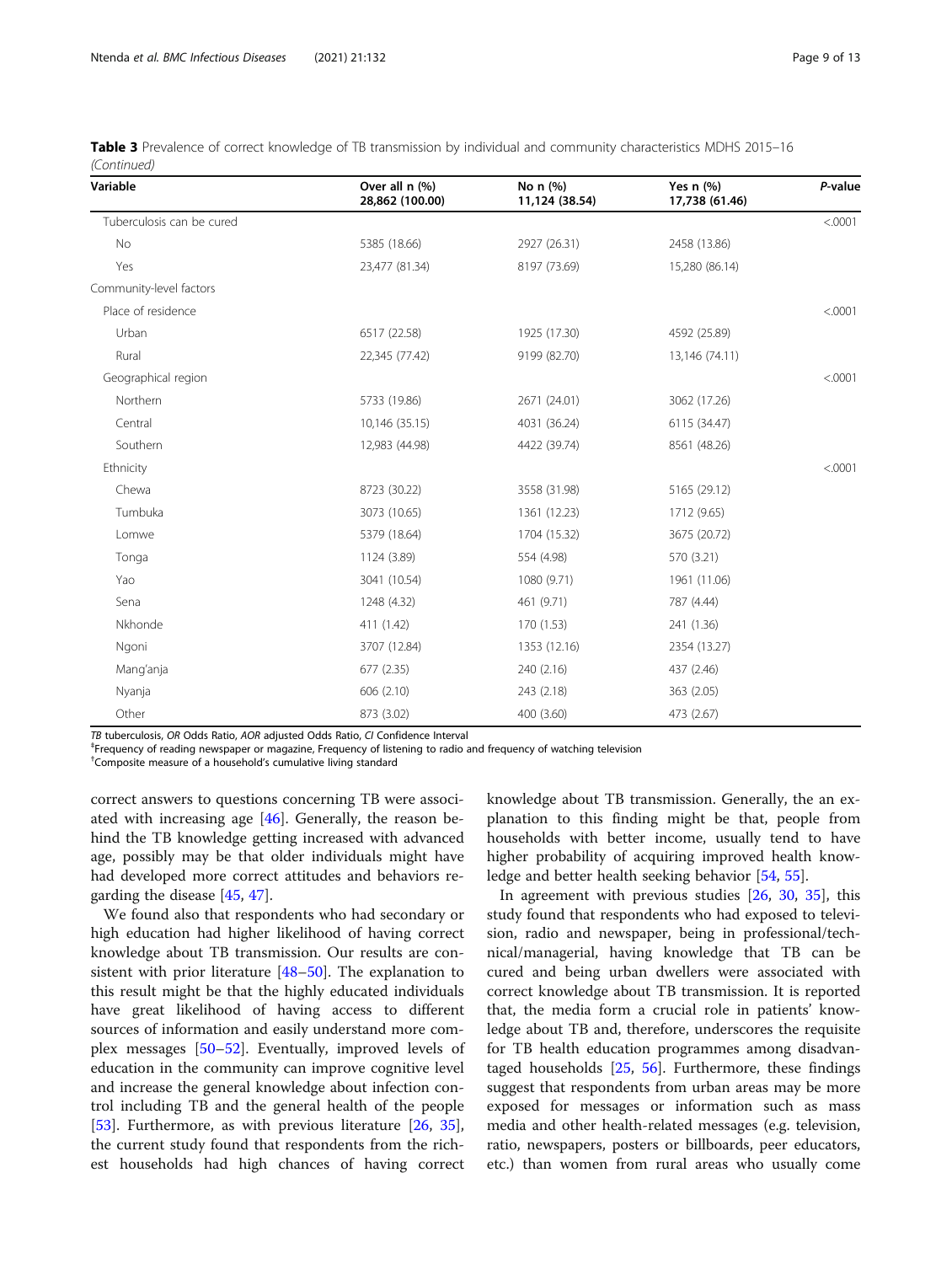| Variable                  | Over all n (%)<br>28,862 (100.00) | No n (%)<br>11,124 (38.54) | Yes $n$ $(\%)$<br>17,738 (61.46) | P-value |
|---------------------------|-----------------------------------|----------------------------|----------------------------------|---------|
| Tuberculosis can be cured |                                   |                            |                                  | < .0001 |
| No                        | 5385 (18.66)                      | 2927 (26.31)               | 2458 (13.86)                     |         |
| Yes                       | 23,477 (81.34)                    | 8197 (73.69)               | 15,280 (86.14)                   |         |
| Community-level factors   |                                   |                            |                                  |         |
| Place of residence        |                                   |                            |                                  | < .0001 |
| Urban                     | 6517 (22.58)                      | 1925 (17.30)               | 4592 (25.89)                     |         |
| Rural                     | 22,345 (77.42)                    | 9199 (82.70)               | 13,146 (74.11)                   |         |
| Geographical region       |                                   |                            |                                  | < .0001 |
| Northern                  | 5733 (19.86)                      | 2671 (24.01)               | 3062 (17.26)                     |         |
| Central                   | 10,146 (35.15)                    | 4031 (36.24)               | 6115 (34.47)                     |         |
| Southern                  | 12,983 (44.98)                    | 4422 (39.74)               | 8561 (48.26)                     |         |
| Ethnicity                 |                                   |                            |                                  | < .0001 |
| Chewa                     | 8723 (30.22)                      | 3558 (31.98)               | 5165 (29.12)                     |         |
| Tumbuka                   | 3073 (10.65)                      | 1361 (12.23)               | 1712 (9.65)                      |         |
| Lomwe                     | 5379 (18.64)                      | 1704 (15.32)               | 3675 (20.72)                     |         |
| Tonga                     | 1124 (3.89)                       | 554 (4.98)                 | 570 (3.21)                       |         |
| Yao                       | 3041 (10.54)                      | 1080 (9.71)                | 1961 (11.06)                     |         |
| Sena                      | 1248 (4.32)                       | 461 (9.71)                 | 787 (4.44)                       |         |
| Nkhonde                   | 411 (1.42)                        | 170 (1.53)                 | 241 (1.36)                       |         |
| Ngoni                     | 3707 (12.84)                      | 1353 (12.16)               | 2354 (13.27)                     |         |
| Mang'anja                 | 677 (2.35)                        | 240 (2.16)                 | 437 (2.46)                       |         |
| Nyanja                    | 606 (2.10)                        | 243 (2.18)                 | 363 (2.05)                       |         |
| Other                     | 873 (3.02)                        | 400 (3.60)                 | 473 (2.67)                       |         |

| Table 3 Prevalence of correct knowledge of TB transmission by individual and community characteristics MDHS 2015-16 |  |  |
|---------------------------------------------------------------------------------------------------------------------|--|--|
| (Continued)                                                                                                         |  |  |

TB tuberculosis, OR Odds Ratio, AOR adjusted Odds Ratio, CI Confidence Interval ‡

Frequency of reading newspaper or magazine, Frequency of listening to radio and frequency of watching television

† Composite measure of a household's cumulative living standard

correct answers to questions concerning TB were associated with increasing age [[46](#page-12-0)]. Generally, the reason behind the TB knowledge getting increased with advanced age, possibly may be that older individuals might have had developed more correct attitudes and behaviors regarding the disease [[45,](#page-12-0) [47](#page-12-0)].

We found also that respondents who had secondary or high education had higher likelihood of having correct knowledge about TB transmission. Our results are consistent with prior literature [\[48](#page-12-0)–[50](#page-12-0)]. The explanation to this result might be that the highly educated individuals have great likelihood of having access to different sources of information and easily understand more complex messages [[50](#page-12-0)–[52\]](#page-12-0). Eventually, improved levels of education in the community can improve cognitive level and increase the general knowledge about infection control including TB and the general health of the people [[53\]](#page-12-0). Furthermore, as with previous literature [[26,](#page-11-0) [35](#page-12-0)], the current study found that respondents from the richest households had high chances of having correct

knowledge about TB transmission. Generally, the an explanation to this finding might be that, people from households with better income, usually tend to have higher probability of acquiring improved health knowledge and better health seeking behavior [\[54,](#page-12-0) [55\]](#page-12-0).

In agreement with previous studies [[26,](#page-11-0) [30](#page-12-0), [35\]](#page-12-0), this study found that respondents who had exposed to television, radio and newspaper, being in professional/technical/managerial, having knowledge that TB can be cured and being urban dwellers were associated with correct knowledge about TB transmission. It is reported that, the media form a crucial role in patients' knowledge about TB and, therefore, underscores the requisite for TB health education programmes among disadvantaged households  $[25, 56]$  $[25, 56]$  $[25, 56]$  $[25, 56]$ . Furthermore, these findings suggest that respondents from urban areas may be more exposed for messages or information such as mass media and other health-related messages (e.g. television, ratio, newspapers, posters or billboards, peer educators, etc.) than women from rural areas who usually come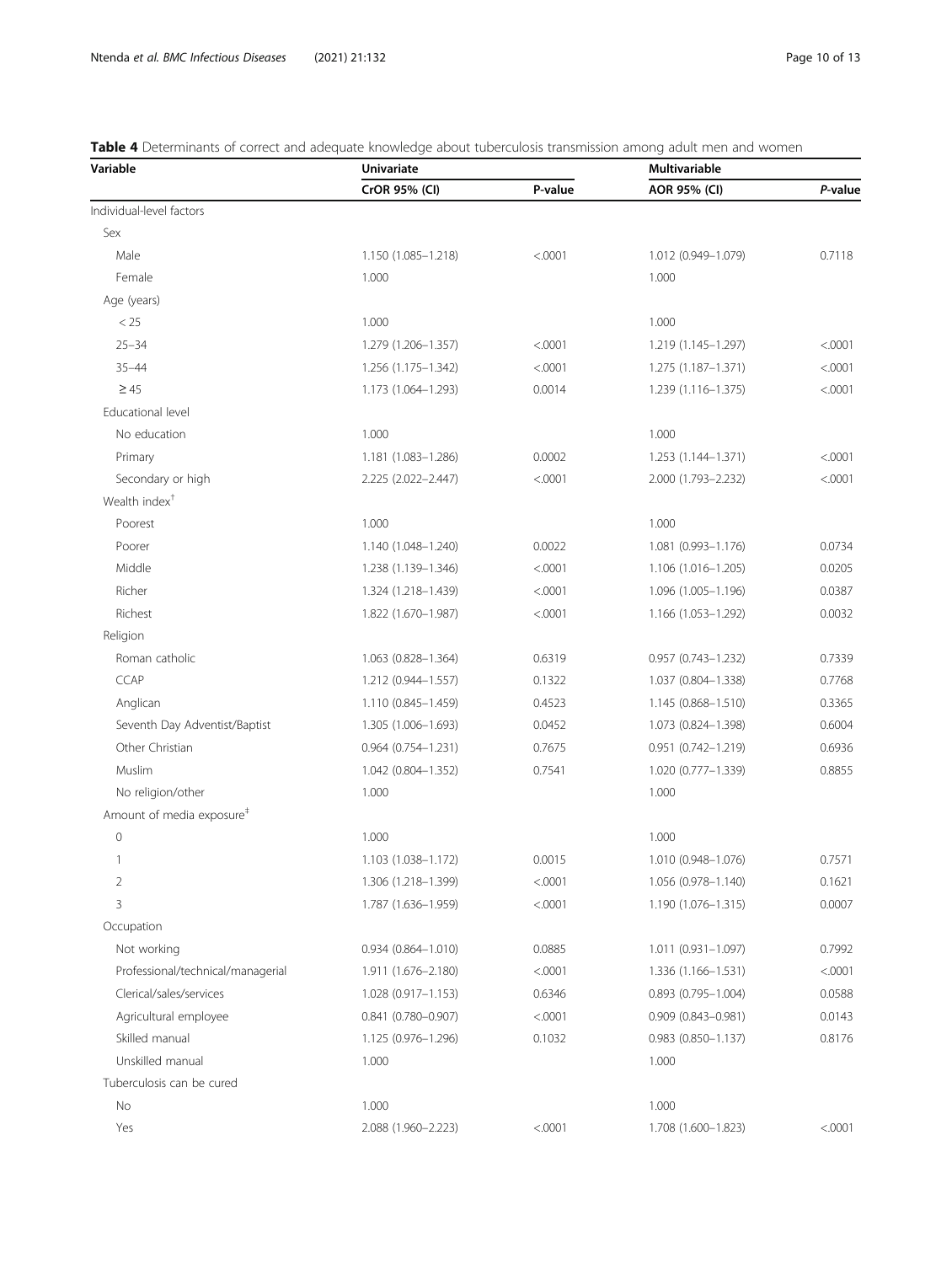<span id="page-9-0"></span>Table 4 Determinants of correct and adequate knowledge about tuberculosis transmission among adult men and women

| CrOR 95% (CI)<br>P-value<br>AOR 95% (CI)<br>Individual-level factors<br>Sex<br>Male<br>1.150 (1.085-1.218)<br>< .0001<br>1.012 (0.949-1.079)<br>0.7118<br>Female<br>1.000<br>1.000<br>Age (years)<br>< 25<br>1.000<br>1.000<br>$25 - 34$<br>1.279 (1.206-1.357)<br>< .0001<br>< .0001<br>1.219 (1.145-1.297)<br>$35 - 44$<br>1.256 (1.175-1.342)<br>< .0001<br>1.275 (1.187-1.371)<br>< 0001<br>$\geq 45$<br>1.173 (1.064-1.293)<br>0.0014<br>1.239 (1.116-1.375)<br>< .0001<br>Educational level<br>No education<br>1.000<br>1.000<br>Primary<br>1.181 (1.083-1.286)<br>0.0002<br>1.253 (1.144-1.371)<br>< 0001<br>Secondary or high<br>< .0001<br>< .0001<br>2.225 (2.022-2.447)<br>2.000 (1.793-2.232)<br>Wealth index <sup>†</sup><br>Poorest<br>1.000<br>1.000<br>Poorer<br>0.0022<br>0.0734<br>1.140 (1.048-1.240)<br>1.081 (0.993-1.176)<br>Middle<br>< .0001<br>1.106 (1.016-1.205)<br>0.0205<br>1.238 (1.139–1.346)<br>Richer<br>< .0001<br>1.096 (1.005-1.196)<br>0.0387<br>1.324 (1.218–1.439)<br>Richest<br>< .0001<br>0.0032<br>1.822 (1.670-1.987)<br>1.166 (1.053-1.292)<br>Religion<br>Roman catholic<br>1.063 (0.828-1.364)<br>0.6319<br>$0.957$ $(0.743 - 1.232)$<br>0.7339<br>CCAP<br>0.1322<br>1.037 (0.804-1.338)<br>0.7768<br>1.212 (0.944-1.557)<br>Anglican<br>1.110 (0.845-1.459)<br>0.4523<br>1.145 (0.868-1.510)<br>0.3365<br>Seventh Day Adventist/Baptist<br>1.305 (1.006-1.693)<br>0.0452<br>1.073 (0.824-1.398)<br>0.6004<br>Other Christian<br>0.951 (0.742-1.219)<br>0.6936<br>$0.964$ $(0.754 - 1.231)$<br>0.7675<br>Muslim<br>1.042 (0.804-1.352)<br>0.7541<br>1.020 (0.777-1.339)<br>0.8855<br>No religion/other<br>1.000<br>1.000<br>Amount of media exposure <sup>#</sup><br>$\mathbb O$<br>1.000<br>1.000<br>0.7571<br>1.103 (1.038-1.172)<br>0.0015<br>1.010 (0.948-1.076)<br>1<br>0.1621<br>2<br>1.306 (1.218-1.399)<br>< .0001<br>1.056 (0.978-1.140)<br>3<br>0.0007<br>1.787 (1.636-1.959)<br>< .0001<br>1.190 (1.076-1.315)<br>Occupation<br>Not working<br>1.011 (0.931-1.097)<br>0.7992<br>$0.934(0.864 - 1.010)$<br>0.0885<br>Professional/technical/managerial<br>1.911 (1.676-2.180)<br>< .0001<br>1.336 (1.166-1.531)<br>< 0001<br>Clerical/sales/services<br>1.028 (0.917-1.153)<br>0.6346<br>$0.893$ $(0.795 - 1.004)$<br>0.0588<br>Agricultural employee<br>$0.841(0.780 - 0.907)$<br>< .0001<br>0.0143<br>$0.909(0.843 - 0.981)$<br>Skilled manual<br>0.8176<br>1.125 (0.976-1.296)<br>0.1032<br>$0.983$ $(0.850 - 1.137)$<br>Unskilled manual<br>1.000<br>1.000<br>Tuberculosis can be cured<br>No<br>1.000<br>1.000<br>Yes<br>2.088 (1.960-2.223)<br>< .0001<br>1.708 (1.600-1.823)<br>< 0001 | Variable | <b>Univariate</b> | Multivariable |         |  |
|-------------------------------------------------------------------------------------------------------------------------------------------------------------------------------------------------------------------------------------------------------------------------------------------------------------------------------------------------------------------------------------------------------------------------------------------------------------------------------------------------------------------------------------------------------------------------------------------------------------------------------------------------------------------------------------------------------------------------------------------------------------------------------------------------------------------------------------------------------------------------------------------------------------------------------------------------------------------------------------------------------------------------------------------------------------------------------------------------------------------------------------------------------------------------------------------------------------------------------------------------------------------------------------------------------------------------------------------------------------------------------------------------------------------------------------------------------------------------------------------------------------------------------------------------------------------------------------------------------------------------------------------------------------------------------------------------------------------------------------------------------------------------------------------------------------------------------------------------------------------------------------------------------------------------------------------------------------------------------------------------------------------------------------------------------------------------------------------------------------------------------------------------------------------------------------------------------------------------------------------------------------------------------------------------------------------------------------------------------------------------------------------------------------------------------------------------------------------------------------------------------------------------------------------------------------------------------------------------------------------------------------------------------|----------|-------------------|---------------|---------|--|
|                                                                                                                                                                                                                                                                                                                                                                                                                                                                                                                                                                                                                                                                                                                                                                                                                                                                                                                                                                                                                                                                                                                                                                                                                                                                                                                                                                                                                                                                                                                                                                                                                                                                                                                                                                                                                                                                                                                                                                                                                                                                                                                                                                                                                                                                                                                                                                                                                                                                                                                                                                                                                                                       |          |                   |               | P-value |  |
|                                                                                                                                                                                                                                                                                                                                                                                                                                                                                                                                                                                                                                                                                                                                                                                                                                                                                                                                                                                                                                                                                                                                                                                                                                                                                                                                                                                                                                                                                                                                                                                                                                                                                                                                                                                                                                                                                                                                                                                                                                                                                                                                                                                                                                                                                                                                                                                                                                                                                                                                                                                                                                                       |          |                   |               |         |  |
|                                                                                                                                                                                                                                                                                                                                                                                                                                                                                                                                                                                                                                                                                                                                                                                                                                                                                                                                                                                                                                                                                                                                                                                                                                                                                                                                                                                                                                                                                                                                                                                                                                                                                                                                                                                                                                                                                                                                                                                                                                                                                                                                                                                                                                                                                                                                                                                                                                                                                                                                                                                                                                                       |          |                   |               |         |  |
|                                                                                                                                                                                                                                                                                                                                                                                                                                                                                                                                                                                                                                                                                                                                                                                                                                                                                                                                                                                                                                                                                                                                                                                                                                                                                                                                                                                                                                                                                                                                                                                                                                                                                                                                                                                                                                                                                                                                                                                                                                                                                                                                                                                                                                                                                                                                                                                                                                                                                                                                                                                                                                                       |          |                   |               |         |  |
|                                                                                                                                                                                                                                                                                                                                                                                                                                                                                                                                                                                                                                                                                                                                                                                                                                                                                                                                                                                                                                                                                                                                                                                                                                                                                                                                                                                                                                                                                                                                                                                                                                                                                                                                                                                                                                                                                                                                                                                                                                                                                                                                                                                                                                                                                                                                                                                                                                                                                                                                                                                                                                                       |          |                   |               |         |  |
|                                                                                                                                                                                                                                                                                                                                                                                                                                                                                                                                                                                                                                                                                                                                                                                                                                                                                                                                                                                                                                                                                                                                                                                                                                                                                                                                                                                                                                                                                                                                                                                                                                                                                                                                                                                                                                                                                                                                                                                                                                                                                                                                                                                                                                                                                                                                                                                                                                                                                                                                                                                                                                                       |          |                   |               |         |  |
|                                                                                                                                                                                                                                                                                                                                                                                                                                                                                                                                                                                                                                                                                                                                                                                                                                                                                                                                                                                                                                                                                                                                                                                                                                                                                                                                                                                                                                                                                                                                                                                                                                                                                                                                                                                                                                                                                                                                                                                                                                                                                                                                                                                                                                                                                                                                                                                                                                                                                                                                                                                                                                                       |          |                   |               |         |  |
|                                                                                                                                                                                                                                                                                                                                                                                                                                                                                                                                                                                                                                                                                                                                                                                                                                                                                                                                                                                                                                                                                                                                                                                                                                                                                                                                                                                                                                                                                                                                                                                                                                                                                                                                                                                                                                                                                                                                                                                                                                                                                                                                                                                                                                                                                                                                                                                                                                                                                                                                                                                                                                                       |          |                   |               |         |  |
|                                                                                                                                                                                                                                                                                                                                                                                                                                                                                                                                                                                                                                                                                                                                                                                                                                                                                                                                                                                                                                                                                                                                                                                                                                                                                                                                                                                                                                                                                                                                                                                                                                                                                                                                                                                                                                                                                                                                                                                                                                                                                                                                                                                                                                                                                                                                                                                                                                                                                                                                                                                                                                                       |          |                   |               |         |  |
|                                                                                                                                                                                                                                                                                                                                                                                                                                                                                                                                                                                                                                                                                                                                                                                                                                                                                                                                                                                                                                                                                                                                                                                                                                                                                                                                                                                                                                                                                                                                                                                                                                                                                                                                                                                                                                                                                                                                                                                                                                                                                                                                                                                                                                                                                                                                                                                                                                                                                                                                                                                                                                                       |          |                   |               |         |  |
|                                                                                                                                                                                                                                                                                                                                                                                                                                                                                                                                                                                                                                                                                                                                                                                                                                                                                                                                                                                                                                                                                                                                                                                                                                                                                                                                                                                                                                                                                                                                                                                                                                                                                                                                                                                                                                                                                                                                                                                                                                                                                                                                                                                                                                                                                                                                                                                                                                                                                                                                                                                                                                                       |          |                   |               |         |  |
|                                                                                                                                                                                                                                                                                                                                                                                                                                                                                                                                                                                                                                                                                                                                                                                                                                                                                                                                                                                                                                                                                                                                                                                                                                                                                                                                                                                                                                                                                                                                                                                                                                                                                                                                                                                                                                                                                                                                                                                                                                                                                                                                                                                                                                                                                                                                                                                                                                                                                                                                                                                                                                                       |          |                   |               |         |  |
|                                                                                                                                                                                                                                                                                                                                                                                                                                                                                                                                                                                                                                                                                                                                                                                                                                                                                                                                                                                                                                                                                                                                                                                                                                                                                                                                                                                                                                                                                                                                                                                                                                                                                                                                                                                                                                                                                                                                                                                                                                                                                                                                                                                                                                                                                                                                                                                                                                                                                                                                                                                                                                                       |          |                   |               |         |  |
|                                                                                                                                                                                                                                                                                                                                                                                                                                                                                                                                                                                                                                                                                                                                                                                                                                                                                                                                                                                                                                                                                                                                                                                                                                                                                                                                                                                                                                                                                                                                                                                                                                                                                                                                                                                                                                                                                                                                                                                                                                                                                                                                                                                                                                                                                                                                                                                                                                                                                                                                                                                                                                                       |          |                   |               |         |  |
|                                                                                                                                                                                                                                                                                                                                                                                                                                                                                                                                                                                                                                                                                                                                                                                                                                                                                                                                                                                                                                                                                                                                                                                                                                                                                                                                                                                                                                                                                                                                                                                                                                                                                                                                                                                                                                                                                                                                                                                                                                                                                                                                                                                                                                                                                                                                                                                                                                                                                                                                                                                                                                                       |          |                   |               |         |  |
|                                                                                                                                                                                                                                                                                                                                                                                                                                                                                                                                                                                                                                                                                                                                                                                                                                                                                                                                                                                                                                                                                                                                                                                                                                                                                                                                                                                                                                                                                                                                                                                                                                                                                                                                                                                                                                                                                                                                                                                                                                                                                                                                                                                                                                                                                                                                                                                                                                                                                                                                                                                                                                                       |          |                   |               |         |  |
|                                                                                                                                                                                                                                                                                                                                                                                                                                                                                                                                                                                                                                                                                                                                                                                                                                                                                                                                                                                                                                                                                                                                                                                                                                                                                                                                                                                                                                                                                                                                                                                                                                                                                                                                                                                                                                                                                                                                                                                                                                                                                                                                                                                                                                                                                                                                                                                                                                                                                                                                                                                                                                                       |          |                   |               |         |  |
|                                                                                                                                                                                                                                                                                                                                                                                                                                                                                                                                                                                                                                                                                                                                                                                                                                                                                                                                                                                                                                                                                                                                                                                                                                                                                                                                                                                                                                                                                                                                                                                                                                                                                                                                                                                                                                                                                                                                                                                                                                                                                                                                                                                                                                                                                                                                                                                                                                                                                                                                                                                                                                                       |          |                   |               |         |  |
|                                                                                                                                                                                                                                                                                                                                                                                                                                                                                                                                                                                                                                                                                                                                                                                                                                                                                                                                                                                                                                                                                                                                                                                                                                                                                                                                                                                                                                                                                                                                                                                                                                                                                                                                                                                                                                                                                                                                                                                                                                                                                                                                                                                                                                                                                                                                                                                                                                                                                                                                                                                                                                                       |          |                   |               |         |  |
|                                                                                                                                                                                                                                                                                                                                                                                                                                                                                                                                                                                                                                                                                                                                                                                                                                                                                                                                                                                                                                                                                                                                                                                                                                                                                                                                                                                                                                                                                                                                                                                                                                                                                                                                                                                                                                                                                                                                                                                                                                                                                                                                                                                                                                                                                                                                                                                                                                                                                                                                                                                                                                                       |          |                   |               |         |  |
|                                                                                                                                                                                                                                                                                                                                                                                                                                                                                                                                                                                                                                                                                                                                                                                                                                                                                                                                                                                                                                                                                                                                                                                                                                                                                                                                                                                                                                                                                                                                                                                                                                                                                                                                                                                                                                                                                                                                                                                                                                                                                                                                                                                                                                                                                                                                                                                                                                                                                                                                                                                                                                                       |          |                   |               |         |  |
|                                                                                                                                                                                                                                                                                                                                                                                                                                                                                                                                                                                                                                                                                                                                                                                                                                                                                                                                                                                                                                                                                                                                                                                                                                                                                                                                                                                                                                                                                                                                                                                                                                                                                                                                                                                                                                                                                                                                                                                                                                                                                                                                                                                                                                                                                                                                                                                                                                                                                                                                                                                                                                                       |          |                   |               |         |  |
|                                                                                                                                                                                                                                                                                                                                                                                                                                                                                                                                                                                                                                                                                                                                                                                                                                                                                                                                                                                                                                                                                                                                                                                                                                                                                                                                                                                                                                                                                                                                                                                                                                                                                                                                                                                                                                                                                                                                                                                                                                                                                                                                                                                                                                                                                                                                                                                                                                                                                                                                                                                                                                                       |          |                   |               |         |  |
|                                                                                                                                                                                                                                                                                                                                                                                                                                                                                                                                                                                                                                                                                                                                                                                                                                                                                                                                                                                                                                                                                                                                                                                                                                                                                                                                                                                                                                                                                                                                                                                                                                                                                                                                                                                                                                                                                                                                                                                                                                                                                                                                                                                                                                                                                                                                                                                                                                                                                                                                                                                                                                                       |          |                   |               |         |  |
|                                                                                                                                                                                                                                                                                                                                                                                                                                                                                                                                                                                                                                                                                                                                                                                                                                                                                                                                                                                                                                                                                                                                                                                                                                                                                                                                                                                                                                                                                                                                                                                                                                                                                                                                                                                                                                                                                                                                                                                                                                                                                                                                                                                                                                                                                                                                                                                                                                                                                                                                                                                                                                                       |          |                   |               |         |  |
|                                                                                                                                                                                                                                                                                                                                                                                                                                                                                                                                                                                                                                                                                                                                                                                                                                                                                                                                                                                                                                                                                                                                                                                                                                                                                                                                                                                                                                                                                                                                                                                                                                                                                                                                                                                                                                                                                                                                                                                                                                                                                                                                                                                                                                                                                                                                                                                                                                                                                                                                                                                                                                                       |          |                   |               |         |  |
|                                                                                                                                                                                                                                                                                                                                                                                                                                                                                                                                                                                                                                                                                                                                                                                                                                                                                                                                                                                                                                                                                                                                                                                                                                                                                                                                                                                                                                                                                                                                                                                                                                                                                                                                                                                                                                                                                                                                                                                                                                                                                                                                                                                                                                                                                                                                                                                                                                                                                                                                                                                                                                                       |          |                   |               |         |  |
|                                                                                                                                                                                                                                                                                                                                                                                                                                                                                                                                                                                                                                                                                                                                                                                                                                                                                                                                                                                                                                                                                                                                                                                                                                                                                                                                                                                                                                                                                                                                                                                                                                                                                                                                                                                                                                                                                                                                                                                                                                                                                                                                                                                                                                                                                                                                                                                                                                                                                                                                                                                                                                                       |          |                   |               |         |  |
|                                                                                                                                                                                                                                                                                                                                                                                                                                                                                                                                                                                                                                                                                                                                                                                                                                                                                                                                                                                                                                                                                                                                                                                                                                                                                                                                                                                                                                                                                                                                                                                                                                                                                                                                                                                                                                                                                                                                                                                                                                                                                                                                                                                                                                                                                                                                                                                                                                                                                                                                                                                                                                                       |          |                   |               |         |  |
|                                                                                                                                                                                                                                                                                                                                                                                                                                                                                                                                                                                                                                                                                                                                                                                                                                                                                                                                                                                                                                                                                                                                                                                                                                                                                                                                                                                                                                                                                                                                                                                                                                                                                                                                                                                                                                                                                                                                                                                                                                                                                                                                                                                                                                                                                                                                                                                                                                                                                                                                                                                                                                                       |          |                   |               |         |  |
|                                                                                                                                                                                                                                                                                                                                                                                                                                                                                                                                                                                                                                                                                                                                                                                                                                                                                                                                                                                                                                                                                                                                                                                                                                                                                                                                                                                                                                                                                                                                                                                                                                                                                                                                                                                                                                                                                                                                                                                                                                                                                                                                                                                                                                                                                                                                                                                                                                                                                                                                                                                                                                                       |          |                   |               |         |  |
|                                                                                                                                                                                                                                                                                                                                                                                                                                                                                                                                                                                                                                                                                                                                                                                                                                                                                                                                                                                                                                                                                                                                                                                                                                                                                                                                                                                                                                                                                                                                                                                                                                                                                                                                                                                                                                                                                                                                                                                                                                                                                                                                                                                                                                                                                                                                                                                                                                                                                                                                                                                                                                                       |          |                   |               |         |  |
|                                                                                                                                                                                                                                                                                                                                                                                                                                                                                                                                                                                                                                                                                                                                                                                                                                                                                                                                                                                                                                                                                                                                                                                                                                                                                                                                                                                                                                                                                                                                                                                                                                                                                                                                                                                                                                                                                                                                                                                                                                                                                                                                                                                                                                                                                                                                                                                                                                                                                                                                                                                                                                                       |          |                   |               |         |  |
|                                                                                                                                                                                                                                                                                                                                                                                                                                                                                                                                                                                                                                                                                                                                                                                                                                                                                                                                                                                                                                                                                                                                                                                                                                                                                                                                                                                                                                                                                                                                                                                                                                                                                                                                                                                                                                                                                                                                                                                                                                                                                                                                                                                                                                                                                                                                                                                                                                                                                                                                                                                                                                                       |          |                   |               |         |  |
|                                                                                                                                                                                                                                                                                                                                                                                                                                                                                                                                                                                                                                                                                                                                                                                                                                                                                                                                                                                                                                                                                                                                                                                                                                                                                                                                                                                                                                                                                                                                                                                                                                                                                                                                                                                                                                                                                                                                                                                                                                                                                                                                                                                                                                                                                                                                                                                                                                                                                                                                                                                                                                                       |          |                   |               |         |  |
|                                                                                                                                                                                                                                                                                                                                                                                                                                                                                                                                                                                                                                                                                                                                                                                                                                                                                                                                                                                                                                                                                                                                                                                                                                                                                                                                                                                                                                                                                                                                                                                                                                                                                                                                                                                                                                                                                                                                                                                                                                                                                                                                                                                                                                                                                                                                                                                                                                                                                                                                                                                                                                                       |          |                   |               |         |  |
|                                                                                                                                                                                                                                                                                                                                                                                                                                                                                                                                                                                                                                                                                                                                                                                                                                                                                                                                                                                                                                                                                                                                                                                                                                                                                                                                                                                                                                                                                                                                                                                                                                                                                                                                                                                                                                                                                                                                                                                                                                                                                                                                                                                                                                                                                                                                                                                                                                                                                                                                                                                                                                                       |          |                   |               |         |  |
|                                                                                                                                                                                                                                                                                                                                                                                                                                                                                                                                                                                                                                                                                                                                                                                                                                                                                                                                                                                                                                                                                                                                                                                                                                                                                                                                                                                                                                                                                                                                                                                                                                                                                                                                                                                                                                                                                                                                                                                                                                                                                                                                                                                                                                                                                                                                                                                                                                                                                                                                                                                                                                                       |          |                   |               |         |  |
|                                                                                                                                                                                                                                                                                                                                                                                                                                                                                                                                                                                                                                                                                                                                                                                                                                                                                                                                                                                                                                                                                                                                                                                                                                                                                                                                                                                                                                                                                                                                                                                                                                                                                                                                                                                                                                                                                                                                                                                                                                                                                                                                                                                                                                                                                                                                                                                                                                                                                                                                                                                                                                                       |          |                   |               |         |  |
|                                                                                                                                                                                                                                                                                                                                                                                                                                                                                                                                                                                                                                                                                                                                                                                                                                                                                                                                                                                                                                                                                                                                                                                                                                                                                                                                                                                                                                                                                                                                                                                                                                                                                                                                                                                                                                                                                                                                                                                                                                                                                                                                                                                                                                                                                                                                                                                                                                                                                                                                                                                                                                                       |          |                   |               |         |  |
|                                                                                                                                                                                                                                                                                                                                                                                                                                                                                                                                                                                                                                                                                                                                                                                                                                                                                                                                                                                                                                                                                                                                                                                                                                                                                                                                                                                                                                                                                                                                                                                                                                                                                                                                                                                                                                                                                                                                                                                                                                                                                                                                                                                                                                                                                                                                                                                                                                                                                                                                                                                                                                                       |          |                   |               |         |  |
|                                                                                                                                                                                                                                                                                                                                                                                                                                                                                                                                                                                                                                                                                                                                                                                                                                                                                                                                                                                                                                                                                                                                                                                                                                                                                                                                                                                                                                                                                                                                                                                                                                                                                                                                                                                                                                                                                                                                                                                                                                                                                                                                                                                                                                                                                                                                                                                                                                                                                                                                                                                                                                                       |          |                   |               |         |  |
|                                                                                                                                                                                                                                                                                                                                                                                                                                                                                                                                                                                                                                                                                                                                                                                                                                                                                                                                                                                                                                                                                                                                                                                                                                                                                                                                                                                                                                                                                                                                                                                                                                                                                                                                                                                                                                                                                                                                                                                                                                                                                                                                                                                                                                                                                                                                                                                                                                                                                                                                                                                                                                                       |          |                   |               |         |  |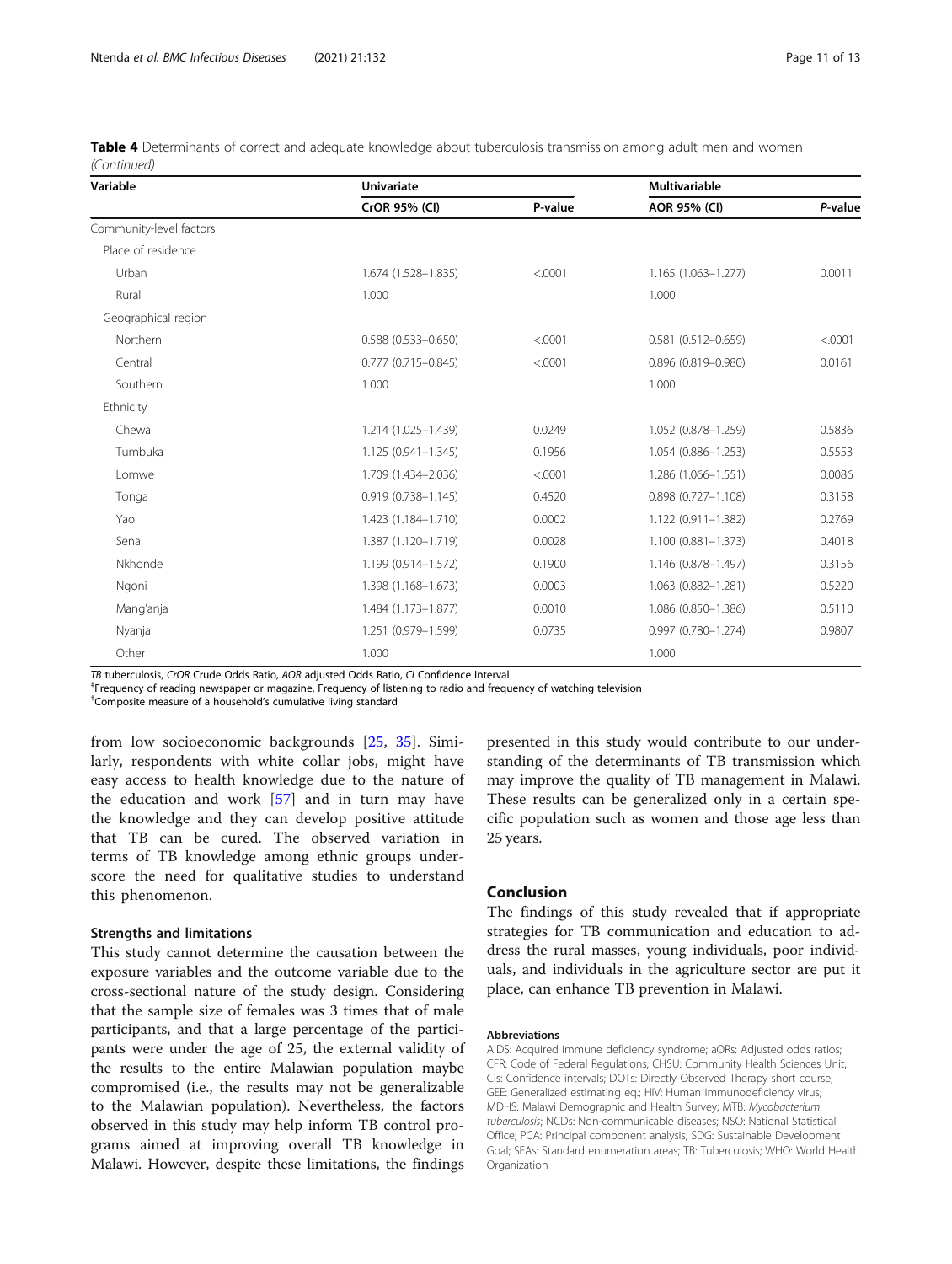| Variable                | <b>Univariate</b>      | <b>Multivariable</b> |                        |         |  |
|-------------------------|------------------------|----------------------|------------------------|---------|--|
|                         | CrOR 95% (CI)          | P-value              | AOR 95% (CI)           | P-value |  |
| Community-level factors |                        |                      |                        |         |  |
| Place of residence      |                        |                      |                        |         |  |
| Urban                   | 1.674 (1.528-1.835)    | < .0001              | 1.165 (1.063-1.277)    | 0.0011  |  |
| Rural                   | 1.000                  |                      | 1.000                  |         |  |
| Geographical region     |                        |                      |                        |         |  |
| Northern                | $0.588(0.533 - 0.650)$ | < .0001              | $0.581(0.512 - 0.659)$ | < .0001 |  |
| Central                 | $0.777(0.715 - 0.845)$ | < .0001              | 0.896 (0.819-0.980)    | 0.0161  |  |
| Southern                | 1.000                  |                      | 1.000                  |         |  |
| Ethnicity               |                        |                      |                        |         |  |
| Chewa                   | 1.214 (1.025-1.439)    | 0.0249               | 1.052 (0.878-1.259)    | 0.5836  |  |
| Tumbuka                 | $1.125(0.941 - 1.345)$ | 0.1956               | 1.054 (0.886-1.253)    | 0.5553  |  |
| Lomwe                   | 1.709 (1.434-2.036)    | < .0001              | 1.286 (1.066-1.551)    | 0.0086  |  |
| Tonga                   | $0.919(0.738 - 1.145)$ | 0.4520               | $0.898(0.727 - 1.108)$ | 0.3158  |  |
| Yao                     | 1.423 (1.184-1.710)    | 0.0002               | 1.122 (0.911-1.382)    | 0.2769  |  |
| Sena                    | 1.387 (1.120-1.719)    | 0.0028               | 1.100 (0.881-1.373)    | 0.4018  |  |
| Nkhonde                 | 1.199 (0.914-1.572)    | 0.1900               | 1.146 (0.878-1.497)    | 0.3156  |  |
| Ngoni                   | 1.398 (1.168-1.673)    | 0.0003               | 1.063 (0.882-1.281)    | 0.5220  |  |
| Mang'anja               | 1.484 (1.173-1.877)    | 0.0010               | 1.086 (0.850-1.386)    | 0.5110  |  |
| Nyanja                  | 1.251 (0.979-1.599)    | 0.0735               | 0.997 (0.780-1.274)    | 0.9807  |  |
| Other                   | 1.000                  |                      | 1.000                  |         |  |

| Table 4 Determinants of correct and adequate knowledge about tuberculosis transmission among adult men and women |  |  |  |  |  |
|------------------------------------------------------------------------------------------------------------------|--|--|--|--|--|
| (Continued)                                                                                                      |  |  |  |  |  |

TB tuberculosis, CrOR Crude Odds Ratio, AOR adjusted Odds Ratio, CI Confidence Interval ‡

Frequency of reading newspaper or magazine, Frequency of listening to radio and frequency of watching television

† Composite measure of a household's cumulative living standard

from low socioeconomic backgrounds [\[25](#page-11-0), [35\]](#page-12-0). Similarly, respondents with white collar jobs, might have easy access to health knowledge due to the nature of the education and work [\[57](#page-12-0)] and in turn may have the knowledge and they can develop positive attitude that TB can be cured. The observed variation in terms of TB knowledge among ethnic groups underscore the need for qualitative studies to understand this phenomenon.

#### Strengths and limitations

This study cannot determine the causation between the exposure variables and the outcome variable due to the cross-sectional nature of the study design. Considering that the sample size of females was 3 times that of male participants, and that a large percentage of the participants were under the age of 25, the external validity of the results to the entire Malawian population maybe compromised (i.e., the results may not be generalizable to the Malawian population). Nevertheless, the factors observed in this study may help inform TB control programs aimed at improving overall TB knowledge in Malawi. However, despite these limitations, the findings presented in this study would contribute to our understanding of the determinants of TB transmission which may improve the quality of TB management in Malawi. These results can be generalized only in a certain specific population such as women and those age less than 25 years.

#### Conclusion

The findings of this study revealed that if appropriate strategies for TB communication and education to address the rural masses, young individuals, poor individuals, and individuals in the agriculture sector are put it place, can enhance TB prevention in Malawi.

#### Abbreviations

AIDS: Acquired immune deficiency syndrome; aORs: Adjusted odds ratios; CFR: Code of Federal Regulations; CHSU: Community Health Sciences Unit; Cis: Confidence intervals; DOTs: Directly Observed Therapy short course; GEE: Generalized estimating eq.; HIV: Human immunodeficiency virus; MDHS: Malawi Demographic and Health Survey; MTB: Mycobacterium tuberculosis; NCDs: Non-communicable diseases; NSO: National Statistical Office; PCA: Principal component analysis; SDG: Sustainable Development Goal; SEAs: Standard enumeration areas; TB: Tuberculosis; WHO: World Health Organization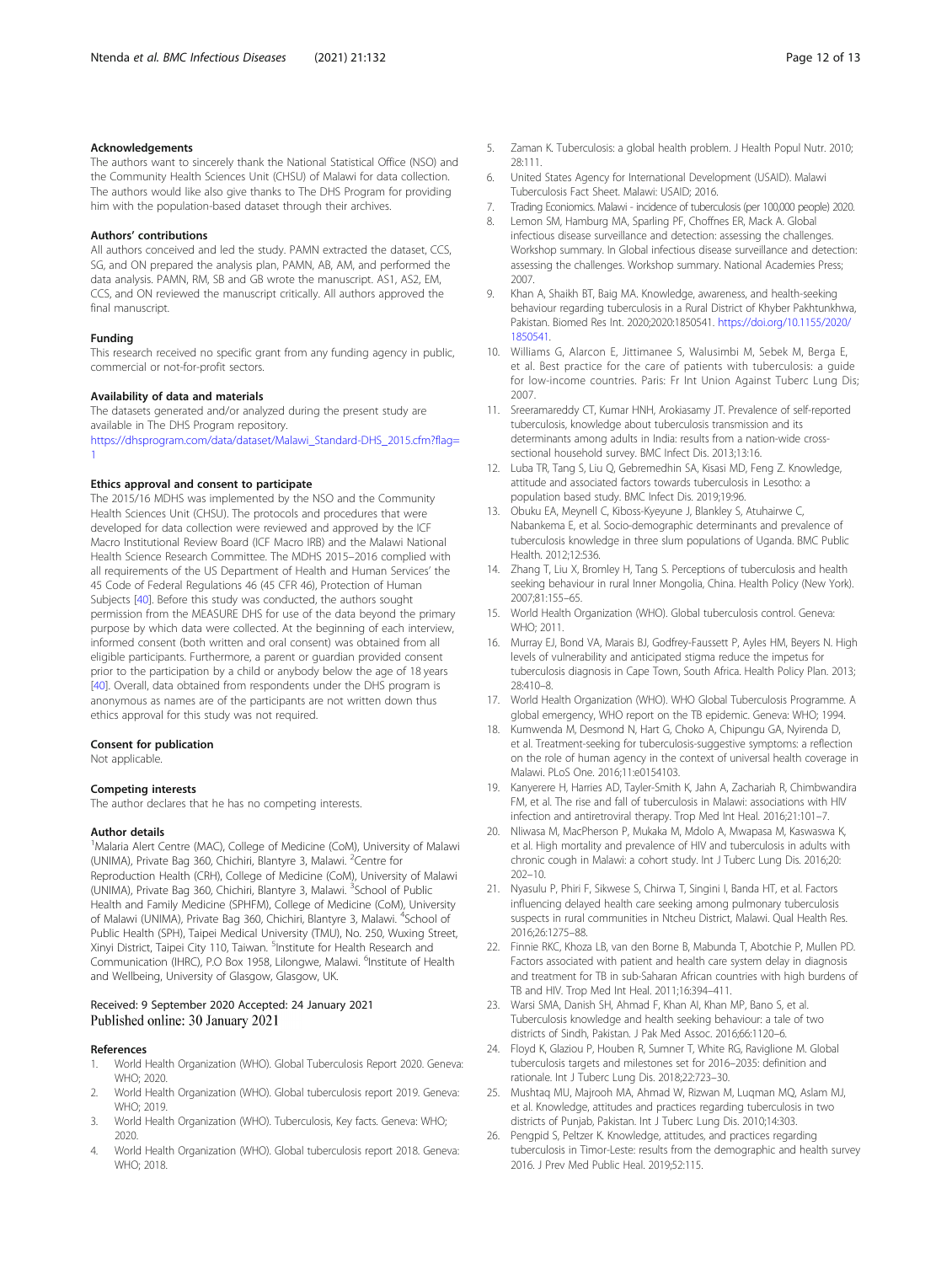#### <span id="page-11-0"></span>Acknowledgements

The authors want to sincerely thank the National Statistical Office (NSO) and the Community Health Sciences Unit (CHSU) of Malawi for data collection. The authors would like also give thanks to The DHS Program for providing him with the population-based dataset through their archives.

#### Authors' contributions

All authors conceived and led the study. PAMN extracted the dataset, CCS, SG, and ON prepared the analysis plan, PAMN, AB, AM, and performed the data analysis. PAMN, RM, SB and GB wrote the manuscript. AS1, AS2, EM, CCS, and ON reviewed the manuscript critically. All authors approved the final manuscript.

#### Funding

[1](https://dhsprogram.com/data/dataset/Malawi_Standard-DHS_2015.cfm?flag=1)

This research received no specific grant from any funding agency in public, commercial or not-for-profit sectors.

#### Availability of data and materials

The datasets generated and/or analyzed during the present study are available in The DHS Program repository. [https://dhsprogram.com/data/dataset/Malawi\\_Standard-DHS\\_2015.cfm?flag=](https://dhsprogram.com/data/dataset/Malawi_Standard-DHS_2015.cfm?flag=1)

#### Ethics approval and consent to participate

The 2015/16 MDHS was implemented by the NSO and the Community Health Sciences Unit (CHSU). The protocols and procedures that were developed for data collection were reviewed and approved by the ICF Macro Institutional Review Board (ICF Macro IRB) and the Malawi National Health Science Research Committee. The MDHS 2015–2016 complied with all requirements of the US Department of Health and Human Services' the 45 Code of Federal Regulations 46 (45 CFR 46), Protection of Human Subjects [[40\]](#page-12-0). Before this study was conducted, the authors sought permission from the MEASURE DHS for use of the data beyond the primary purpose by which data were collected. At the beginning of each interview, informed consent (both written and oral consent) was obtained from all eligible participants. Furthermore, a parent or guardian provided consent prior to the participation by a child or anybody below the age of 18 years [[40\]](#page-12-0). Overall, data obtained from respondents under the DHS program is anonymous as names are of the participants are not written down thus ethics approval for this study was not required.

#### Consent for publication

Not applicable.

#### Competing interests

The author declares that he has no competing interests.

#### Author details

<sup>1</sup>Malaria Alert Centre (MAC), College of Medicine (CoM), University of Malawi (UNIMA), Private Bag 360, Chichiri, Blantyre 3, Malawi. <sup>2</sup>Centre for Reproduction Health (CRH), College of Medicine (CoM), University of Malawi (UNIMA), Private Bag 360, Chichiri, Blantyre 3, Malawi. <sup>3</sup>School of Public Health and Family Medicine (SPHFM), College of Medicine (CoM), University of Malawi (UNIMA), Private Bag 360, Chichiri, Blantyre 3, Malawi. <sup>4</sup>School of Public Health (SPH), Taipei Medical University (TMU), No. 250, Wuxing Street, Xinyi District, Taipei City 110, Taiwan. <sup>5</sup>Institute for Health Research and Communication (IHRC), P.O Box 1958, Lilongwe, Malawi. <sup>6</sup>Institute of Health and Wellbeing, University of Glasgow, Glasgow, UK.

#### Received: 9 September 2020 Accepted: 24 January 2021 Published online: 30 January 2021

#### References

- 1. World Health Organization (WHO). Global Tuberculosis Report 2020. Geneva: WHO; 2020.
- 2. World Health Organization (WHO). Global tuberculosis report 2019. Geneva: WHO; 2019.
- 3. World Health Organization (WHO). Tuberculosis, Key facts. Geneva: WHO; 2020.
- 4. World Health Organization (WHO). Global tuberculosis report 2018. Geneva: WHO; 2018.
- 5. Zaman K. Tuberculosis: a global health problem. J Health Popul Nutr. 2010; 28:111.
- 6. United States Agency for International Development (USAID). Malawi Tuberculosis Fact Sheet. Malawi: USAID; 2016.
- 7. Trading Econiomics. Malawi incidence of tuberculosis (per 100,000 people) 2020.
- 8. Lemon SM, Hamburg MA, Sparling PF, Choffnes ER, Mack A. Global infectious disease surveillance and detection: assessing the challenges. Workshop summary. In Global infectious disease surveillance and detection: assessing the challenges. Workshop summary. National Academies Press; 2007.
- 9. Khan A, Shaikh BT, Baig MA. Knowledge, awareness, and health-seeking behaviour regarding tuberculosis in a Rural District of Khyber Pakhtunkhwa, Pakistan. Biomed Res Int. 2020;2020:1850541. [https://doi.org/10.1155/2020/](https://doi.org/10.1155/2020/1850541) [1850541.](https://doi.org/10.1155/2020/1850541)
- 10. Williams G, Alarcon E, Jittimanee S, Walusimbi M, Sebek M, Berga E, et al. Best practice for the care of patients with tuberculosis: a guide for low-income countries. Paris: Fr Int Union Against Tuberc Lung Dis; 2007.
- 11. Sreeramareddy CT, Kumar HNH, Arokiasamy JT. Prevalence of self-reported tuberculosis, knowledge about tuberculosis transmission and its determinants among adults in India: results from a nation-wide crosssectional household survey. BMC Infect Dis. 2013;13:16.
- 12. Luba TR, Tang S, Liu Q, Gebremedhin SA, Kisasi MD, Feng Z. Knowledge, attitude and associated factors towards tuberculosis in Lesotho: a population based study. BMC Infect Dis. 2019;19:96.
- 13. Obuku EA, Meynell C, Kiboss-Kyeyune J, Blankley S, Atuhairwe C, Nabankema E, et al. Socio-demographic determinants and prevalence of tuberculosis knowledge in three slum populations of Uganda. BMC Public Health. 2012;12:536.
- 14. Zhang T, Liu X, Bromley H, Tang S. Perceptions of tuberculosis and health seeking behaviour in rural Inner Mongolia, China. Health Policy (New York). 2007;81:155–65.
- 15. World Health Organization (WHO). Global tuberculosis control. Geneva: WHO; 2011.
- 16. Murray EJ, Bond VA, Marais BJ, Godfrey-Faussett P, Ayles HM, Beyers N. High levels of vulnerability and anticipated stigma reduce the impetus for tuberculosis diagnosis in Cape Town, South Africa. Health Policy Plan. 2013; 28:410–8.
- 17. World Health Organization (WHO). WHO Global Tuberculosis Programme. A global emergency, WHO report on the TB epidemic. Geneva: WHO; 1994.
- 18. Kumwenda M, Desmond N, Hart G, Choko A, Chipungu GA, Nyirenda D, et al. Treatment-seeking for tuberculosis-suggestive symptoms: a reflection on the role of human agency in the context of universal health coverage in Malawi. PLoS One. 2016;11:e0154103.
- 19. Kanyerere H, Harries AD, Tayler-Smith K, Jahn A, Zachariah R, Chimbwandira FM, et al. The rise and fall of tuberculosis in Malawi: associations with HIV infection and antiretroviral therapy. Trop Med Int Heal. 2016;21:101–7.
- 20. Nliwasa M, MacPherson P, Mukaka M, Mdolo A, Mwapasa M, Kaswaswa K, et al. High mortality and prevalence of HIV and tuberculosis in adults with chronic cough in Malawi: a cohort study. Int J Tuberc Lung Dis. 2016;20: 202–10.
- 21. Nyasulu P, Phiri F, Sikwese S, Chirwa T, Singini I, Banda HT, et al. Factors influencing delayed health care seeking among pulmonary tuberculosis suspects in rural communities in Ntcheu District, Malawi. Qual Health Res. 2016;26:1275–88.
- 22. Finnie RKC, Khoza LB, van den Borne B, Mabunda T, Abotchie P, Mullen PD. Factors associated with patient and health care system delay in diagnosis and treatment for TB in sub-Saharan African countries with high burdens of TB and HIV. Trop Med Int Heal. 2011;16:394–411.
- 23. Warsi SMA, Danish SH, Ahmad F, Khan AI, Khan MP, Bano S, et al. Tuberculosis knowledge and health seeking behaviour: a tale of two districts of Sindh, Pakistan. J Pak Med Assoc. 2016;66:1120–6.
- 24. Floyd K, Glaziou P, Houben R, Sumner T, White RG, Raviglione M. Global tuberculosis targets and milestones set for 2016–2035: definition and rationale. Int J Tuberc Lung Dis. 2018;22:723–30.
- 25. Mushtaq MU, Majrooh MA, Ahmad W, Rizwan M, Luqman MQ, Aslam MJ, et al. Knowledge, attitudes and practices regarding tuberculosis in two districts of Punjab, Pakistan. Int J Tuberc Lung Dis. 2010;14:303.
- 26. Pengpid S, Peltzer K. Knowledge, attitudes, and practices regarding tuberculosis in Timor-Leste: results from the demographic and health survey 2016. J Prev Med Public Heal. 2019;52:115.